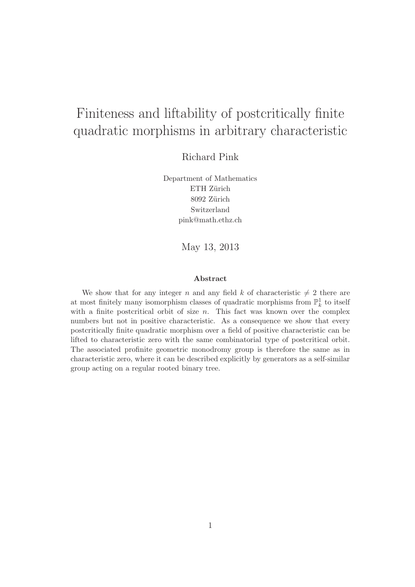# Finiteness and liftability of postcritically finite quadratic morphisms in arbitrary characteristic

Richard Pink

Department of Mathematics ETH Zürich 8092 Zürich Switzerland pink@math.ethz.ch

May 13, 2013

#### Abstract

We show that for any integer n and any field k of characteristic  $\neq 2$  there are at most finitely many isomorphism classes of quadratic morphisms from  $\mathbb{P}^1_k$  to itself with a finite postcritical orbit of size  $n$ . This fact was known over the complex numbers but not in positive characteristic. As a consequence we show that every postcritically finite quadratic morphism over a field of positive characteristic can be lifted to characteristic zero with the same combinatorial type of postcritical orbit. The associated profinite geometric monodromy group is therefore the same as in characteristic zero, where it can be described explicitly by generators as a self-similar group acting on a regular rooted binary tree.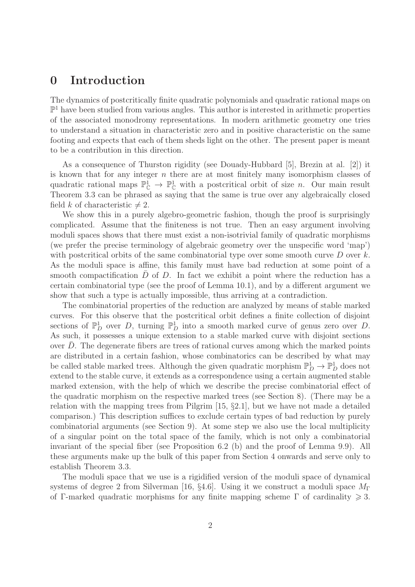#### 0 Introduction

The dynamics of postcritically finite quadratic polynomials and quadratic rational maps on  $\mathbb{P}^1$  have been studied from various angles. This author is interested in arithmetic properties of the associated monodromy representations. In modern arithmetic geometry one tries to understand a situation in characteristic zero and in positive characteristic on the same footing and expects that each of them sheds light on the other. The present paper is meant to be a contribution in this direction.

As a consequence of Thurston rigidity (see Douady-Hubbard [5], Brezin at al. [2]) it is known that for any integer n there are at most finitely many isomorphism classes of quadratic rational maps  $\mathbb{P}^1_{\mathbb{C}} \to \mathbb{P}^1_{\mathbb{C}}$  with a postcritical orbit of size *n*. Our main result Theorem 3.3 can be phrased as saying that the same is true over any algebraically closed field k of characteristic  $\neq 2$ .

We show this in a purely algebro-geometric fashion, though the proof is surprisingly complicated. Assume that the finiteness is not true. Then an easy argument involving moduli spaces shows that there must exist a non-isotrivial family of quadratic morphisms (we prefer the precise terminology of algebraic geometry over the unspecific word 'map') with postcritical orbits of the same combinatorial type over some smooth curve  $D$  over k. As the moduli space is affine, this family must have bad reduction at some point of a smooth compactification  $D$  of  $D$ . In fact we exhibit a point where the reduction has a certain combinatorial type (see the proof of Lemma 10.1), and by a different argument we show that such a type is actually impossible, thus arriving at a contradiction.

The combinatorial properties of the reduction are analyzed by means of stable marked curves. For this observe that the postcritical orbit defines a finite collection of disjoint sections of  $\mathbb{P}^1_D$  over D, turning  $\mathbb{P}^1_D$  into a smooth marked curve of genus zero over D. As such, it possesses a unique extension to a stable marked curve with disjoint sections over  $D$ . The degenerate fibers are trees of rational curves among which the marked points are distributed in a certain fashion, whose combinatorics can be described by what may be called stable marked trees. Although the given quadratic morphism  $\mathbb{P}_D^1 \to \mathbb{P}_D^1$  does not extend to the stable curve, it extends as a correspondence using a certain augmented stable marked extension, with the help of which we describe the precise combinatorial effect of the quadratic morphism on the respective marked trees (see Section 8). (There may be a relation with the mapping trees from Pilgrim [15, §2.1], but we have not made a detailed comparison.) This description suffices to exclude certain types of bad reduction by purely combinatorial arguments (see Section 9). At some step we also use the local multiplicity of a singular point on the total space of the family, which is not only a combinatorial invariant of the special fiber (see Proposition 6.2 (b) and the proof of Lemma 9.9). All these arguments make up the bulk of this paper from Section 4 onwards and serve only to establish Theorem 3.3.

The moduli space that we use is a rigidified version of the moduli space of dynamical systems of degree 2 from Silverman [16, §4.6]. Using it we construct a moduli space  $M_{\Gamma}$ of Γ-marked quadratic morphisms for any finite mapping scheme Γ of cardinality  $\geq 3$ .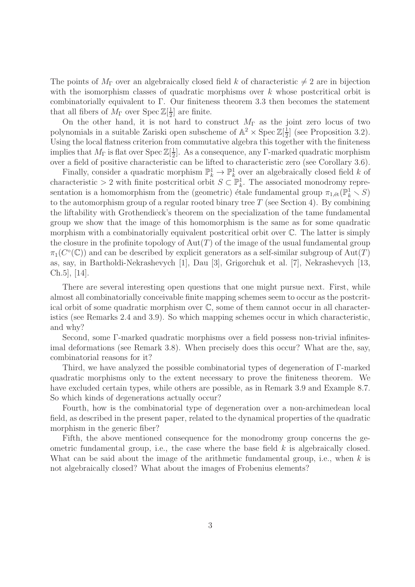The points of  $M_{\Gamma}$  over an algebraically closed field k of characteristic  $\neq 2$  are in bijection with the isomorphism classes of quadratic morphisms over  $k$  whose postcritical orbit is combinatorially equivalent to Γ. Our finiteness theorem 3.3 then becomes the statement that all fibers of  $M_{\Gamma}$  over  $\text{Spec } \mathbb{Z}[\frac{1}{2}]$  $\frac{1}{2}$  are finite.

On the other hand, it is not hard to construct  $M_{\Gamma}$  as the joint zero locus of two polynomials in a suitable Zariski open subscheme of  $\mathbb{A}^2 \times \operatorname{Spec} \mathbb{Z}[\frac{1}{2}]$  $\frac{1}{2}$  (see Proposition 3.2). Using the local flatness criterion from commutative algebra this together with the finiteness implies that  $M_{\Gamma}$  is flat over Spec  $\mathbb{Z}[\frac{1}{2}]$  $\frac{1}{2}$ . As a consequence, any Γ-marked quadratic morphism over a field of positive characteristic can be lifted to characteristic zero (see Corollary 3.6).

Finally, consider a quadratic morphism  $\mathbb{P}_k^1 \to \mathbb{P}_k^1$  over an algebraically closed field k of characteristic > 2 with finite postcritical orbit  $S \subset \mathbb{P}_k^1$ . The associated monodromy representation is a homomorphism from the (geometric) étale fundamental group  $\pi_{1,\text{\'et}}(\mathbb{P}_k^1 \setminus S)$ to the automorphism group of a regular rooted binary tree  $T$  (see Section 4). By combining the liftability with Grothendieck's theorem on the specialization of the tame fundamental group we show that the image of this homomorphism is the same as for some quadratic morphism with a combinatorially equivalent postcritical orbit over C. The latter is simply the closure in the profinite topology of  $Aut(T)$  of the image of the usual fundamental group  $\pi_1(C^{\circ}(\mathbb{C}))$  and can be described by explicit generators as a self-similar subgroup of  $\mathrm{Aut}(T)$ as, say, in Bartholdi-Nekrashevych [1], Dau [3], Grigorchuk et al. [7], Nekrashevych [13, Ch.5], [14].

There are several interesting open questions that one might pursue next. First, while almost all combinatorially conceivable finite mapping schemes seem to occur as the postcritical orbit of some quadratic morphism over C, some of them cannot occur in all characteristics (see Remarks 2.4 and 3.9). So which mapping schemes occur in which characteristic, and why?

Second, some Γ-marked quadratic morphisms over a field possess non-trivial infinitesimal deformations (see Remark 3.8). When precisely does this occur? What are the, say, combinatorial reasons for it?

Third, we have analyzed the possible combinatorial types of degeneration of Γ-marked quadratic morphisms only to the extent necessary to prove the finiteness theorem. We have excluded certain types, while others are possible, as in Remark 3.9 and Example 8.7. So which kinds of degenerations actually occur?

Fourth, how is the combinatorial type of degeneration over a non-archimedean local field, as described in the present paper, related to the dynamical properties of the quadratic morphism in the generic fiber?

Fifth, the above mentioned consequence for the monodromy group concerns the geometric fundamental group, i.e., the case where the base field  $k$  is algebraically closed. What can be said about the image of the arithmetic fundamental group, i.e., when  $k$  is not algebraically closed? What about the images of Frobenius elements?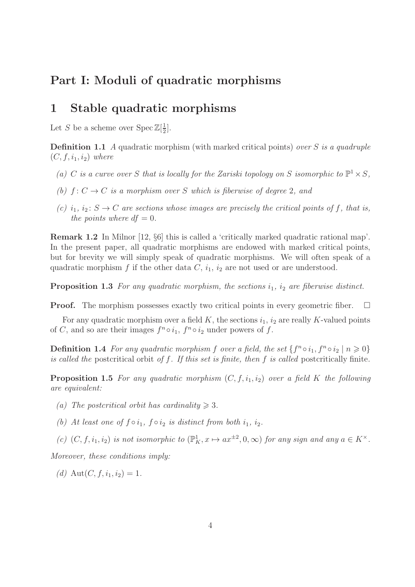#### Part I: Moduli of quadratic morphisms

#### 1 Stable quadratic morphisms

Let S be a scheme over  $\text{Spec } \mathbb{Z}[\frac{1}{2}]$  $\frac{1}{2}$ .

**Definition 1.1** A quadratic morphism (with marked critical points) over S is a quadruple  $(C, f, i_1, i_2)$  where

- (a) C is a curve over S that is locally for the Zariski topology on S isomorphic to  $\mathbb{P}^1 \times S$ ,
- (b)  $f: C \to C$  is a morphism over S which is fiberwise of degree 2, and
- (c)  $i_1$ ,  $i_2$ :  $S \rightarrow C$  are sections whose images are precisely the critical points of f, that is, the points where  $df = 0$ .

Remark 1.2 In Milnor [12, §6] this is called a 'critically marked quadratic rational map'. In the present paper, all quadratic morphisms are endowed with marked critical points, but for brevity we will simply speak of quadratic morphisms. We will often speak of a quadratic morphism f if the other data  $C$ ,  $i_1$ ,  $i_2$  are not used or are understood.

**Proposition 1.3** For any quadratic morphism, the sections  $i_1$ ,  $i_2$  are fiberwise distinct.

**Proof.** The morphism possesses exactly two critical points in every geometric fiber.  $\Box$ 

For any quadratic morphism over a field K, the sections  $i_1$ ,  $i_2$  are really K-valued points of C, and so are their images  $f^n \circ i_1$ ,  $f^n \circ i_2$  under powers of f.

**Definition 1.4** For any quadratic morphism f over a field, the set  $\{f^n \circ i_1, f^n \circ i_2 \mid n \geq 0\}$ is called the postcritical orbit of  $f$ . If this set is finite, then  $f$  is called postcritically finite.

**Proposition 1.5** For any quadratic morphism  $(C, f, i_1, i_2)$  over a field K the following are equivalent:

- (a) The postcritical orbit has cardinality  $\geq 3$ .
- (b) At least one of  $f \circ i_1$ ,  $f \circ i_2$  is distinct from both  $i_1$ ,  $i_2$ .
- (c)  $(C, f, i_1, i_2)$  is not isomorphic to  $(\mathbb{P}^1_K, x \mapsto ax^{\pm 2}, 0, \infty)$  for any sign and any  $a \in K^{\times}$ .

Moreover, these conditions imply:

(d)  $\text{Aut}(C, f, i_1, i_2) = 1.$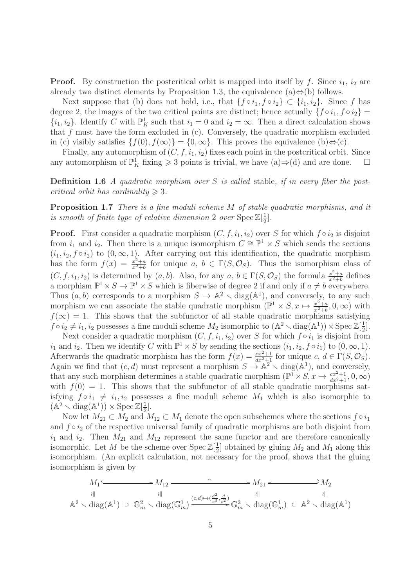**Proof.** By construction the postcritical orbit is mapped into itself by f. Since  $i_1$ ,  $i_2$  are already two distinct elements by Proposition 1.3, the equivalence (a) $\Leftrightarrow$ (b) follows.

Next suppose that (b) does not hold, i.e., that  $\{f \circ i_1, f \circ i_2\} \subset \{i_1, i_2\}$ . Since f has degree 2, the images of the two critical points are distinct; hence actually  $\{f \circ i_1, f \circ i_2\}$  $\{i_1, i_2\}$ . Identify C with  $\mathbb{P}^1_K$  such that  $i_1 = 0$  and  $i_2 = \infty$ . Then a direct calculation shows that f must have the form excluded in  $(c)$ . Conversely, the quadratic morphism excluded in (c) visibly satisfies  $\{f(0), f(\infty)\} = \{0, \infty\}$ . This proves the equivalence  $(b) \Leftrightarrow (c)$ .

Finally, any automorphism of  $(C, f, i_1, i_2)$  fixes each point in the postcritical orbit. Since any automorphism of  $\mathbb{P}^1_K$  fixing  $\geq 3$  points is trivial, we have  $(a) \Rightarrow (d)$  and are done.  $\Box$ 

**Definition 1.6** A quadratic morphism over S is called stable, if in every fiber the postcritical orbit has cardinality  $\geq 3$ .

Proposition 1.7 There is a fine moduli scheme M of stable quadratic morphisms, and it is smooth of finite type of relative dimension 2 over  $\text{Spec } \mathbb{Z}[\frac{1}{2}]$  $\frac{1}{2}$ .

**Proof.** First consider a quadratic morphism  $(C, f, i_1, i_2)$  over S for which  $f \circ i_2$  is disjoint from  $i_1$  and  $i_2$ . Then there is a unique isomorphism  $C \cong \mathbb{P}^1 \times S$  which sends the sections  $(i_1, i_2, f \circ i_2)$  to  $(0, \infty, 1)$ . After carrying out this identification, the quadratic morphism has the form  $f(x) = \frac{x^2+a}{x^2+b}$  $\frac{x^2+a}{x^2+b}$  for unique  $a, b \in \Gamma(S, \mathcal{O}_S)$ . Thus the isomorphism class of  $(C, f, i_1, i_2)$  is determined by  $(a, b)$ . Also, for any  $a, b \in \Gamma(S, \mathcal{O}_S)$  the formula  $\frac{x^2+a}{x^2+b}$  $\frac{x^2+a}{x^2+b}$  defines a morphism  $\mathbb{P}^1 \times S \to \mathbb{P}^1 \times S$  which is fiberwise of degree 2 if and only if  $a \neq b$  everywhere. Thus  $(a, b)$  corresponds to a morphism  $S \to \mathbb{A}^2 \setminus \text{diag}(\mathbb{A}^1)$ , and conversely, to any such morphism we can associate the stable quadratic morphism  $(\mathbb{P}^1 \times S, x \mapsto \frac{x^2+a}{x^2+b})$  $\frac{x^2+a}{x^2+b}$ , 0,  $\infty$ ) with  $f(\infty) = 1$ . This shows that the subfunctor of all stable quadratic morphisms satisfying  $f \circ i_2 \neq i_1, i_2$  possesses a fine moduli scheme  $M_2$  isomorphic to  $(\mathbb{A}^2 \setminus \text{diag}(\mathbb{A}^1)) \times \text{Spec } \mathbb{Z}[\frac{1}{2}]$  $\frac{1}{2}$ .

Next consider a quadratic morphism  $(C, f, i_1, i_2)$  over S for which  $f \circ i_1$  is disjoint from  $i_1$  and  $i_2$ . Then we identify C with  $\mathbb{P}^1 \times S$  by sending the sections  $(i_1, i_2, f \circ i_1)$  to  $(0, \infty, 1)$ . Afterwards the quadratic morphism has the form  $f(x) = \frac{cx^2+1}{dx^2+1}$  for unique  $c, d \in \Gamma(S, \mathcal{O}_S)$ . Again we find that  $(c, d)$  must represent a morphism  $S \to \mathbb{A}^2 \setminus \text{diag}(\mathbb{A}^1)$ , and conversely, that any such morphism determines a stable quadratic morphism  $(\mathbb{P}^1 \times S, x \mapsto \frac{cx^2+1}{dx^2+1}, 0, \infty)$ with  $f(0) = 1$ . This shows that the subfunctor of all stable quadratic morphisms satisfying  $f \circ i_1 \neq i_1, i_2$  possesses a fine moduli scheme  $M_1$  which is also isomorphic to  $(\mathbb{A}^2 \setminus \text{diag}(\mathbb{A}^1)) \times \text{Spec } \mathbb{Z}[\frac{1}{2}]$  $\frac{1}{2}$ .

Now let  $M_{21} \subset M_2$  and  $M_{12} \subset M_1$  denote the open subschemes where the sections  $f \circ i_1$ and  $f \circ i_2$  of the respective universal family of quadratic morphisms are both disjoint from  $i_1$  and  $i_2$ . Then  $M_{21}$  and  $M_{12}$  represent the same functor and are therefore canonically isomorphic. Let M be the scheme over  $\text{Spec } \mathbb{Z}[\frac{1}{2}]$  $\frac{1}{2}$  obtained by gluing  $M_2$  and  $M_1$  along this isomorphism. (An explicit calculation, not necessary for the proof, shows that the gluing isomorphism is given by

$$
M_1 \xrightarrow{\sim} M_{12} \xrightarrow{\sim} M_{21} \xrightarrow{\sim} M_{21} \xrightarrow{\parallel} M_2
$$
  
\n
$$
\downarrow \parallel \qquad \qquad \downarrow \parallel \qquad \qquad \downarrow \parallel
$$
  
\n
$$
\mathbb{A}^2 \setminus \text{diag}(\mathbb{A}^1) \supset \mathbb{G}_m^2 \setminus \text{diag}(\mathbb{G}_m^1) \xrightarrow{(c,d) \mapsto (\frac{d^2}{c^3}, \frac{d}{c^2})} \mathbb{G}_m^2 \setminus \text{diag}(\mathbb{G}_m^1) \subset \mathbb{A}^2 \setminus \text{diag}(\mathbb{A}^1)
$$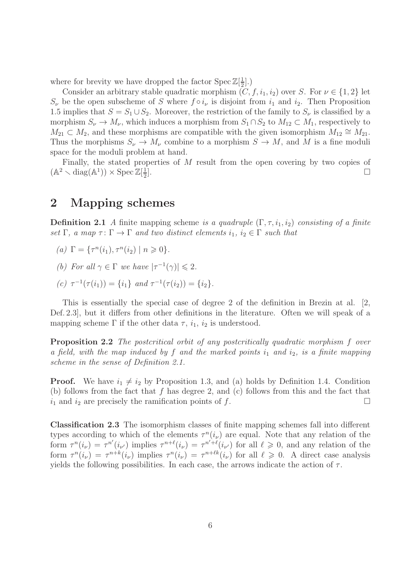where for brevity we have dropped the factor  $\text{Spec } \mathbb{Z}[\frac{1}{2}]$  $\frac{1}{2}$ .)

Consider an arbitrary stable quadratic morphism  $(C, f, i_1, i_2)$  over S. For  $\nu \in \{1, 2\}$  let  $S_{\nu}$  be the open subscheme of S where  $f \circ i_{\nu}$  is disjoint from  $i_1$  and  $i_2$ . Then Proposition 1.5 implies that  $S = S_1 \cup S_2$ . Moreover, the restriction of the family to  $S_{\nu}$  is classified by a morphism  $S_{\nu} \to M_{\nu}$ , which induces a morphism from  $S_1 \cap S_2$  to  $M_{12} \subset M_1$ , respectively to  $M_{21} \subset M_2$ , and these morphisms are compatible with the given isomorphism  $M_{12} \cong M_{21}$ . Thus the morphisms  $S_{\nu} \to M_{\nu}$  combine to a morphism  $S \to M$ , and M is a fine moduli space for the moduli problem at hand.

Finally, the stated properties of M result from the open covering by two copies of  $(\mathbb{A}^2 \setminus \text{diag}(\mathbb{A}^1)) \times \text{Spec } \mathbb{Z}[\frac{1}{2}]$ 2  $\Box$ 

#### 2 Mapping schemes

**Definition 2.1** A finite mapping scheme is a quadruple  $(\Gamma, \tau, i_1, i_2)$  consisting of a finite set  $\Gamma$ , a map  $\tau \colon \Gamma \to \Gamma$  and two distinct elements  $i_1, i_2 \in \Gamma$  such that

- (a)  $\Gamma = \{ \tau^n(i_1), \tau^n(i_2) \mid n \geq 0 \}.$
- (b) For all  $\gamma \in \Gamma$  we have  $|\tau^{-1}(\gamma)| \leq 2$ .
- (c)  $\tau^{-1}(\tau(i_1)) = \{i_1\}$  and  $\tau^{-1}(\tau(i_2)) = \{i_2\}.$

This is essentially the special case of degree 2 of the definition in Brezin at al. [2, Def. 2.3], but it differs from other definitions in the literature. Often we will speak of a mapping scheme  $\Gamma$  if the other data  $\tau$ ,  $i_1$ ,  $i_2$  is understood.

Proposition 2.2 The postcritical orbit of any postcritically quadratic morphism f over a field, with the map induced by f and the marked points  $i_1$  and  $i_2$ , is a finite mapping scheme in the sense of Definition 2.1.

**Proof.** We have  $i_1 \neq i_2$  by Proposition 1.3, and (a) holds by Definition 1.4. Condition (b) follows from the fact that  $f$  has degree 2, and (c) follows from this and the fact that  $i_1$  and  $i_2$  are precisely the ramification points of f.

Classification 2.3 The isomorphism classes of finite mapping schemes fall into different types according to which of the elements  $\tau^n(i_\nu)$  are equal. Note that any relation of the form  $\tau^n(i_\nu) = \tau^{n'}(i_{\nu'})$  implies  $\tau^{n+\ell}(i_\nu) = \tau^{n'+\ell}(i_{\nu'})$  for all  $\ell \geq 0$ , and any relation of the form  $\tau^n(i_\nu) = \tau^{n+k}(i_\nu)$  implies  $\tau^n(i_\nu) = \tau^{n+k}(i_\nu)$  for all  $\ell \geq 0$ . A direct case analysis yields the following possibilities. In each case, the arrows indicate the action of  $\tau$ .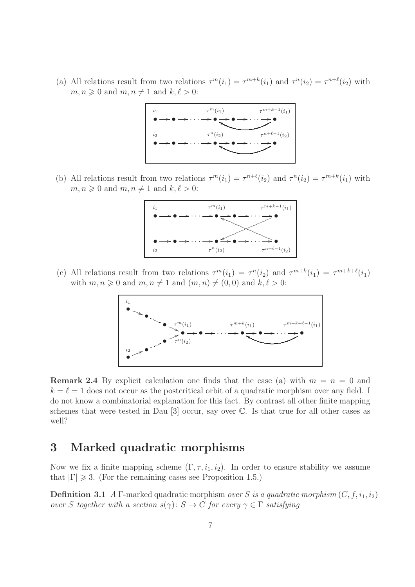(a) All relations result from two relations  $\tau^{m}(i_1) = \tau^{m+k}(i_1)$  and  $\tau^{n}(i_2) = \tau^{n+\ell}(i_2)$  with  $m, n \geq 0$  and  $m, n \neq 1$  and  $k, \ell > 0$ :



(b) All relations result from two relations  $\tau^{m}(i_1) = \tau^{n+\ell}(i_2)$  and  $\tau^{n}(i_2) = \tau^{m+k}(i_1)$  with  $m, n \geq 0$  and  $m, n \neq 1$  and  $k, \ell > 0$ :



(c) All relations result from two relations  $\tau^m(i_1) = \tau^n(i_2)$  and  $\tau^{m+k}(i_1) = \tau^{m+k+\ell}(i_1)$ with  $m, n \geq 0$  and  $m, n \neq 1$  and  $(m, n) \neq (0, 0)$  and  $k, \ell > 0$ :



**Remark 2.4** By explicit calculation one finds that the case (a) with  $m = n = 0$  and  $k = \ell = 1$  does not occur as the postcritical orbit of a quadratic morphism over any field. I do not know a combinatorial explanation for this fact. By contrast all other finite mapping schemes that were tested in Dau [3] occur, say over C. Is that true for all other cases as well?

### 3 Marked quadratic morphisms

Now we fix a finite mapping scheme  $(\Gamma, \tau, i_1, i_2)$ . In order to ensure stability we assume that  $|\Gamma| \geq 3$ . (For the remaining cases see Proposition 1.5.)

**Definition 3.1** A Γ-marked quadratic morphism over S is a quadratic morphism  $(C, f, i_1, i_2)$ over S together with a section  $s(\gamma): S \to C$  for every  $\gamma \in \Gamma$  satisfying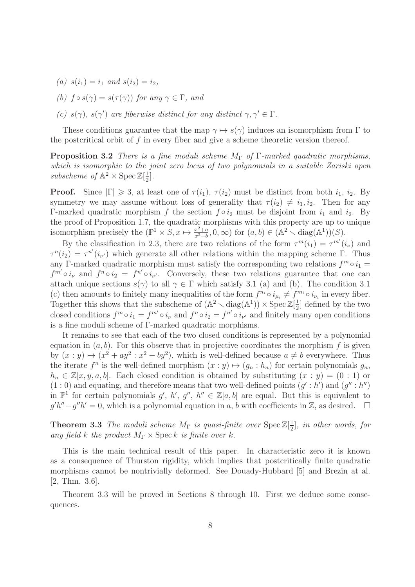- (a)  $s(i_1) = i_1$  and  $s(i_2) = i_2$ ,
- (b)  $f \circ s(\gamma) = s(\tau(\gamma))$  for any  $\gamma \in \Gamma$ , and
- (c)  $s(\gamma)$ ,  $s(\gamma')$  are fiberwise distinct for any distinct  $\gamma, \gamma' \in \Gamma$ .

These conditions guarantee that the map  $\gamma \mapsto s(\gamma)$  induces an isomorphism from Γ to the postcritical orbit of  $f$  in every fiber and give a scheme theoretic version thereof.

**Proposition 3.2** There is a fine moduli scheme  $M_{\Gamma}$  of  $\Gamma$ -marked quadratic morphisms, which is isomorphic to the joint zero locus of two polynomials in a suitable Zariski open subscheme of  $\mathbb{A}^2 \times \operatorname{Spec} \mathbb{Z}[\frac{1}{2}]$  $\frac{1}{2}$ .

**Proof.** Since  $|\Gamma| \geq 3$ , at least one of  $\tau(i_1)$ ,  $\tau(i_2)$  must be distinct from both  $i_1$ ,  $i_2$ . By symmetry we may assume without loss of generality that  $\tau(i_2) \neq i_1, i_2$ . Then for any Γ-marked quadratic morphism f the section  $f \circ i_2$  must be disjoint from  $i_1$  and  $i_2$ . By the proof of Proposition 1.7, the quadratic morphisms with this property are up to unique isomorphism precisely the  $(\mathbb{P}^1 \times S, x \mapsto \frac{x^2+a}{x^2+b})$  $\frac{x^2+a}{x^2+b}, 0, \infty$  for  $(a, b) \in (\mathbb{A}^2 \setminus \text{diag}(\mathbb{A}^1))(S)$ .

By the classification in 2.3, there are two relations of the form  $\tau^{m}(i_1) = \tau^{m'}(i_{\nu})$  and  $\tau^{n}(i_2) = \tau^{n'}(i_{\nu'})$  which generate all other relations within the mapping scheme Γ. Thus any Γ-marked quadratic morphism must satisfy the corresponding two relations  $f^m \circ i_1 =$  $f^{m'} \circ i_{\nu}$  and  $f^{n} \circ i_{2} = f^{n'} \circ i_{\nu'}$ . Conversely, these two relations guarantee that one can attach unique sections  $s(\gamma)$  to all  $\gamma \in \Gamma$  which satisfy 3.1 (a) and (b). The condition 3.1 (c) then amounts to finitely many inequalities of the form  $f^{n_i} \circ i_{\mu_i} \neq f^{m_i} \circ i_{\nu_i}$  in every fiber. Together this shows that the subscheme of  $(\mathbb{A}^2 \setminus \text{diag}(\mathbb{A}^1)) \times \text{Spec } \mathbb{Z}[\frac{1}{2}]$  $\frac{1}{2}$  defined by the two closed conditions  $f^m \circ i_1 = f^{m'} \circ i_\nu$  and  $f^n \circ i_2 = f^{n'} \circ i_{\nu'}$  and finitely many open conditions is a fine moduli scheme of Γ-marked quadratic morphisms.

It remains to see that each of the two closed conditions is represented by a polynomial equation in  $(a, b)$ . For this observe that in projective coordinates the morphism f is given by  $(x : y) \mapsto (x^2 + ay^2 : x^2 + by^2)$ , which is well-defined because  $a \neq b$  everywhere. Thus the iterate  $f^n$  is the well-defined morphism  $(x : y) \mapsto (g_n : h_n)$  for certain polynomials  $g_n$ ,  $h_n \in \mathbb{Z}[x, y, a, b]$ . Each closed condition is obtained by substituting  $(x : y) = (0 : 1)$  or  $(1:0)$  and equating, and therefore means that two well-defined points  $(g':h')$  and  $(g'':h'')$ in  $\mathbb{P}^1$  for certain polynomials  $g'$ ,  $h'$ ,  $g''$ ,  $h'' \in \mathbb{Z}[a, b]$  are equal. But this is equivalent to  $g'h''-g''h' = 0$ , which is a polynomial equation in a, b with coefficients in Z, as desired.  $\square$ 

**Theorem 3.3** The moduli scheme  $M_{\Gamma}$  is quasi-finite over  $\text{Spec } \mathbb{Z}[\frac{1}{2}]$  $\frac{1}{2}$ , in other words, for any field k the product  $M_{\Gamma} \times \operatorname{Spec} k$  is finite over k.

This is the main technical result of this paper. In characteristic zero it is known as a consequence of Thurston rigidity, which implies that postcritically finite quadratic morphisms cannot be nontrivially deformed. See Douady-Hubbard [5] and Brezin at al. [2, Thm. 3.6].

Theorem 3.3 will be proved in Sections 8 through 10. First we deduce some consequences.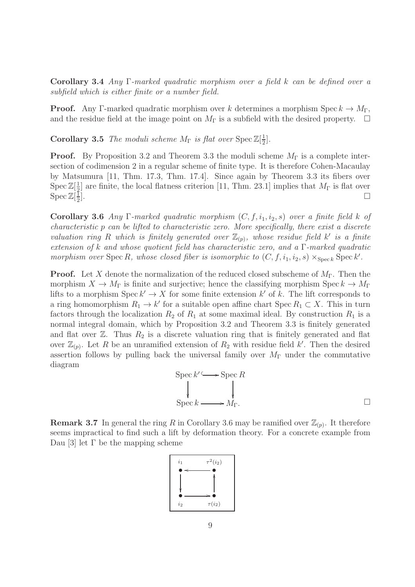Corollary 3.4 Any Γ-marked quadratic morphism over a field k can be defined over a subfield which is either finite or a number field.

**Proof.** Any Γ-marked quadratic morphism over k determines a morphism Spec  $k \to M_{\Gamma}$ , and the residue field at the image point on  $M_{\Gamma}$  is a subfield with the desired property.  $\Box$ 

**Corollary 3.5** The moduli scheme  $M_{\Gamma}$  is flat over  $\text{Spec } \mathbb{Z}[\frac{1}{2}]$  $\frac{1}{2}$ .

**Proof.** By Proposition 3.2 and Theorem 3.3 the moduli scheme  $M_{\Gamma}$  is a complete intersection of codimension 2 in a regular scheme of finite type. It is therefore Cohen-Macaulay by Matsumura [11, Thm. 17.3, Thm. 17.4]. Since again by Theorem 3.3 its fibers over  $\operatorname{Spec} \mathbb{Z}[\frac{1}{2}]$  $\frac{1}{2}$  are finite, the local flatness criterion [11, Thm. 23.1] implies that  $M_{\Gamma}$  is flat over  $\operatorname{Spec} \mathbb{Z}[\frac{1}{2}]$ 2  $\Box$ 

Corollary 3.6 Any Γ-marked quadratic morphism  $(C, f, i_1, i_2, s)$  over a finite field k of characteristic p can be lifted to characteristic zero. More specifically, there exist a discrete valuation ring R which is finitely generated over  $\mathbb{Z}_{(p)}$ , whose residue field k' is a finite extension of k and whose quotient field has characteristic zero, and a Γ-marked quadratic morphism over  $\text{Spec } R$ , whose closed fiber is isomorphic to  $(C, f, i_1, i_2, s) \times_{\text{Spec } k} \text{Spec } k'$ .

**Proof.** Let X denote the normalization of the reduced closed subscheme of  $M_{\Gamma}$ . Then the morphism  $X \to M_{\Gamma}$  is finite and surjective; hence the classifying morphism Spec  $k \to M_{\Gamma}$ lifts to a morphism  $\operatorname{Spec} k' \to X$  for some finite extension k' of k. The lift corresponds to a ring homomorphism  $R_1 \to k'$  for a suitable open affine chart Spec  $R_1 \subset X$ . This in turn factors through the localization  $R_2$  of  $R_1$  at some maximal ideal. By construction  $R_1$  is a normal integral domain, which by Proposition 3.2 and Theorem 3.3 is finitely generated and flat over  $\mathbb{Z}$ . Thus  $R_2$  is a discrete valuation ring that is finitely generated and flat over  $\mathbb{Z}_{(p)}$ . Let R be an unramified extension of  $R_2$  with residue field k'. Then the desired assertion follows by pulling back the universal family over  $M_{\Gamma}$  under the commutative diagram

$$
\operatorname{Spec} k' \longrightarrow \operatorname{Spec} R
$$
  
\n
$$
\downarrow \qquad \qquad \downarrow
$$
  
\n
$$
\operatorname{Spec} k \longrightarrow M_{\Gamma}.
$$

**Remark 3.7** In general the ring R in Corollary 3.6 may be ramified over  $\mathbb{Z}_{(p)}$ . It therefore seems impractical to find such a lift by deformation theory. For a concrete example from Dau [3] let Γ be the mapping scheme

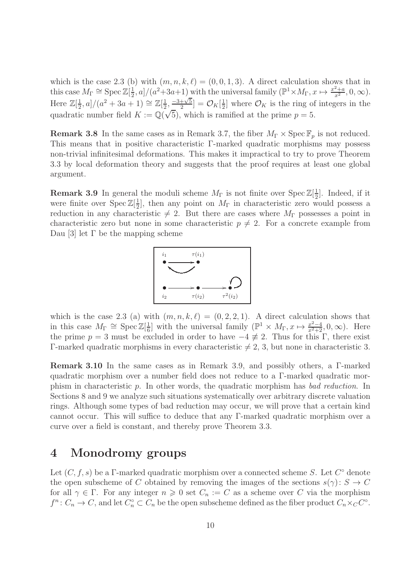which is the case 2.3 (b) with  $(m, n, k, \ell) = (0, 0, 1, 3)$ . A direct calculation shows that in this case  $M_{\Gamma} \cong \operatorname{Spec} \mathbb{Z}[\frac{1}{2}]$  $\frac{1}{2}$ , a]/(a<sup>2</sup>+3a+1) with the universal family ( $\mathbb{P}^1 \times M_{\Gamma}$ ,  $x \mapsto \frac{x^2+a}{x^2}$  $\frac{z+a}{x^2}, 0, \infty$ ). Here  $\mathbb{Z}[\frac{1}{2}]$  $\frac{1}{2}$ , a]/(a<sup>2</sup> + 3a + 1)  $\cong \mathbb{Z}[\frac{1}{2}]$  $\frac{1}{2}, \frac{-3+\sqrt{5}}{2}$  $\frac{+\sqrt{5}}{2}$ ] =  $\mathcal{O}_K[\frac{1}{2}]$  $\left[\frac{1}{2}, \frac{-3+\sqrt{5}}{2}\right] = \mathcal{O}_K\left[\frac{1}{2}\right]$  where  $\mathcal{O}_K$  is the ring of integers in the quadratic number field  $K := \mathbb{Q}(\sqrt{5})$ , which is ramified at the prime  $p = 5$ .

**Remark 3.8** In the same cases as in Remark 3.7, the fiber  $M_{\Gamma} \times \text{Spec } \mathbb{F}_p$  is not reduced. This means that in positive characteristic Γ-marked quadratic morphisms may possess non-trivial infinitesimal deformations. This makes it impractical to try to prove Theorem 3.3 by local deformation theory and suggests that the proof requires at least one global argument.

**Remark 3.9** In general the moduli scheme  $M_{\Gamma}$  is not finite over  $\text{Spec } \mathbb{Z}[\frac{1}{2}]$  $\frac{1}{2}$ . Indeed, if it were finite over  $\text{Spec } \mathbb{Z}[\frac{1}{2}]$  $\frac{1}{2}$ , then any point on  $M_{\Gamma}$  in characteristic zero would possess a reduction in any characteristic  $\neq$  2. But there are cases where  $M_{\Gamma}$  possesses a point in characteristic zero but none in some characteristic  $p \neq 2$ . For a concrete example from Dau [3] let Γ be the mapping scheme



which is the case 2.3 (a) with  $(m, n, k, \ell) = (0, 2, 2, 1)$ . A direct calculation shows that in this case  $M_{\Gamma} \cong \operatorname{Spec} \mathbb{Z}[\frac{1}{6}]$  $\frac{1}{6}$  with the universal family  $(\mathbb{P}^1 \times M_\Gamma, x \mapsto \frac{x^2-4}{x^2+2}, 0, \infty)$ . Here the prime  $p = 3$  must be excluded in order to have  $-4 \not\equiv 2$ . Thus for this Γ, there exist Γ-marked quadratic morphisms in every characteristic  $\neq 2, 3$ , but none in characteristic 3.

Remark 3.10 In the same cases as in Remark 3.9, and possibly others, a Γ-marked quadratic morphism over a number field does not reduce to a Γ-marked quadratic morphism in characteristic p. In other words, the quadratic morphism has bad reduction. In Sections 8 and 9 we analyze such situations systematically over arbitrary discrete valuation rings. Although some types of bad reduction may occur, we will prove that a certain kind cannot occur. This will suffice to deduce that any Γ-marked quadratic morphism over a curve over a field is constant, and thereby prove Theorem 3.3.

#### 4 Monodromy groups

Let  $(C, f, s)$  be a  $\Gamma$ -marked quadratic morphism over a connected scheme S. Let  $C^{\circ}$  denote the open subscheme of C obtained by removing the images of the sections  $s(\gamma): S \to C$ for all  $\gamma \in \Gamma$ . For any integer  $n \geq 0$  set  $C_n := C$  as a scheme over C via the morphism  $f^n: C_n \to C$ , and let  $C_n^{\circ} \subset C_n$  be the open subscheme defined as the fiber product  $C_n \times_C C^{\circ}$ .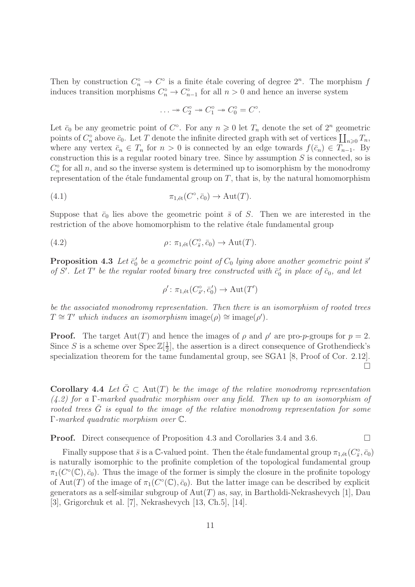Then by construction  $C_n^{\circ} \to C^{\circ}$  is a finite étale covering of degree  $2^n$ . The morphism f induces transition morphisms  $C_n^{\circ} \to C_{n-1}^{\circ}$  for all  $n > 0$  and hence an inverse system

$$
\ldots \to C_2^{\circ} \to C_1^{\circ} \to C_0^{\circ} = C^{\circ}.
$$

Let  $\bar{c}_0$  be any geometric point of  $C^{\circ}$ . For any  $n \geq 0$  let  $T_n$  denote the set of  $2^n$  geometric points of  $C_n^{\circ}$  above  $\bar{c}_0$ . Let T denote the infinite directed graph with set of vertices  $\prod_{n\geqslant 0}T_n$ , where any vertex  $\bar{c}_n \in T_n$  for  $n > 0$  is connected by an edge towards  $f(\bar{c}_n) \in T_{n-1}$ . By construction this is a regular rooted binary tree. Since by assumption  $S$  is connected, so is  $C_n^{\circ}$  for all n, and so the inverse system is determined up to isomorphism by the monodromy representation of the étale fundamental group on  $T$ , that is, by the natural homomorphism

(4.1) 
$$
\pi_{1,\text{\'et}}(C^{\circ}, \bar{c}_0) \to \text{Aut}(T).
$$

Suppose that  $\bar{c}_0$  lies above the geometric point  $\bar{s}$  of S. Then we are interested in the restriction of the above homomorphism to the relative étale fundamental group

(4.2) 
$$
\rho \colon \pi_{1,\text{\'et}}(C^{\circ}_{\bar{s}}, \bar{c}_0) \to \text{Aut}(T).
$$

**Proposition 4.3** Let  $\bar{c}'_0$  be a geometric point of  $C_0$  lying above another geometric point  $\bar{s}'$ of S'. Let T' be the regular rooted binary tree constructed with  $\bar{c}'_0$  in place of  $\bar{c}_0$ , and let

$$
\rho' \colon \pi_{1,\text{\'et}}(C^{\circ}_{\bar{s}'}, \bar{c}'_0) \to \text{Aut}(T')
$$

be the associated monodromy representation. Then there is an isomorphism of rooted trees  $T \cong T'$  which induces an isomorphism image( $\rho$ ) ≅ image( $\rho'$ ).

**Proof.** The target  $Aut(T)$  and hence the images of  $\rho$  and  $\rho'$  are pro-*p*-groups for  $p = 2$ . Since S is a scheme over Spec  $\mathbb{Z}[\frac{1}{2}]$  $\frac{1}{2}$ , the assertion is a direct consequence of Grothendieck's specialization theorem for the tame fundamental group, see SGA1 [8, Proof of Cor. 2.12].  $\Box$ 

Corollary 4.4 Let  $\bar{G} \subset \text{Aut}(T)$  be the image of the relative monodromy representation (4.2) for a Γ-marked quadratic morphism over any field. Then up to an isomorphism of rooted trees  $\overline{G}$  is equal to the image of the relative monodromy representation for some Γ-marked quadratic morphism over C.

**Proof.** Direct consequence of Proposition 4.3 and Corollaries 3.4 and 3.6. □

Finally suppose that  $\bar{s}$  is a C-valued point. Then the étale fundamental group  $\pi_{1, \text{\'et}}(C_{\bar{s}}^{\circ}, \bar{c}_0)$ is naturally isomorphic to the profinite completion of the topological fundamental group  $\pi_1(C^{\circ}(\mathbb{C}), \bar{c}_0)$ . Thus the image of the former is simply the closure in the profinite topology of Aut(T) of the image of  $\pi_1(C^{\circ}(\mathbb{C}), \bar{c}_0)$ . But the latter image can be described by explicit generators as a self-similar subgroup of  $Aut(T)$  as, say, in Bartholdi-Nekrashevych [1], Dau [3], Grigorchuk et al. [7], Nekrashevych [13, Ch.5], [14].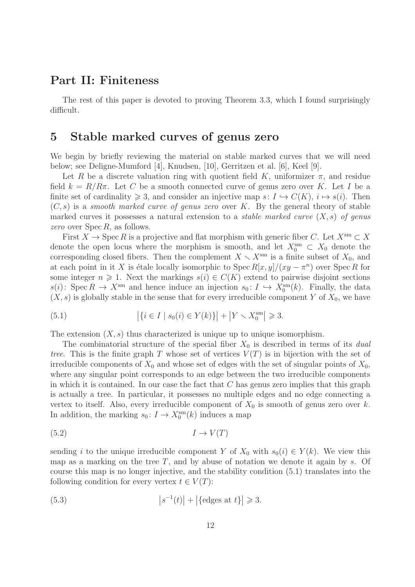#### Part II: Finiteness

The rest of this paper is devoted to proving Theorem 3.3, which I found surprisingly difficult.

# 5 Stable marked curves of genus zero

We begin by briefly reviewing the material on stable marked curves that we will need below; see Deligne-Mumford [4], Knudsen, [10], Gerritzen et al. [6], Keel [9].

Let R be a discrete valuation ring with quotient field K, uniformizer  $\pi$ , and residue field  $k = R/R\pi$ . Let C be a smooth connected curve of genus zero over K. Let I be a finite set of cardinality  $\geq 3$ , and consider an injective map  $s: I \hookrightarrow C(K), i \mapsto s(i)$ . Then  $(C, s)$  is a smooth marked curve of genus zero over K. By the general theory of stable marked curves it possesses a natural extension to a *stable marked curve*  $(X, s)$  of genus zero over Spec R, as follows.

First  $X \to \operatorname{Spec} R$  is a projective and flat morphism with generic fiber C. Let  $X^{\operatorname{sm}} \subset X$ denote the open locus where the morphism is smooth, and let  $X_0^{\text{sm}} \subset X_0$  denote the corresponding closed fibers. Then the complement  $X \setminus X^{\text{sm}}$  is a finite subset of  $X_0$ , and at each point in it X is étale locally isomorphic to  $\text{Spec } R[x, y]/(xy - \pi^n)$  over  $\text{Spec } R$  for some integer  $n \geq 1$ . Next the markings  $s(i) \in C(K)$  extend to pairwise disjoint sections  $s(i)$ : Spec  $R \to X^{\text{sm}}$  and hence induce an injection  $s_0: I \hookrightarrow X_0^{\text{sm}}(k)$ . Finally, the data  $(X, s)$  is globally stable in the sense that for every irreducible component Y of  $X_0$ , we have

(5.1) 
$$
\left| \{ i \in I \mid s_0(i) \in Y(k) \} \right| + \left| Y \setminus X_0^{\text{sm}} \right| \geq 3.
$$

The extension  $(X, s)$  thus characterized is unique up to unique isomorphism.

The combinatorial structure of the special fiber  $X_0$  is described in terms of its *dual* tree. This is the finite graph T whose set of vertices  $V(T)$  is in bijection with the set of irreducible components of  $X_0$  and whose set of edges with the set of singular points of  $X_0$ , where any singular point corresponds to an edge between the two irreducible components in which it is contained. In our case the fact that  $C$  has genus zero implies that this graph is actually a tree. In particular, it possesses no multiple edges and no edge connecting a vertex to itself. Also, every irreducible component of  $X_0$  is smooth of genus zero over k. In addition, the marking  $s_0: I \to X_0^{\text{sm}}(k)$  induces a map

$$
(5.2) \t I \to V(T)
$$

sending i to the unique irreducible component Y of  $X_0$  with  $s_0(i) \in Y(k)$ . We view this map as a marking on the tree  $T$ , and by abuse of notation we denote it again by  $s$ . Of course this map is no longer injective, and the stability condition (5.1) translates into the following condition for every vertex  $t \in V(T)$ :

(5.3) 
$$
\left|s^{-1}(t)\right| + \left|\{\text{edges at } t\}\right| \geq 3.
$$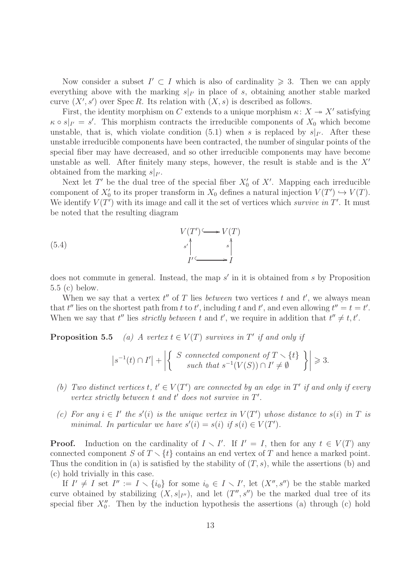Now consider a subset  $I' \subset I$  which is also of cardinality  $\geq 3$ . Then we can apply everything above with the marking  $s|_{I'}$  in place of s, obtaining another stable marked curve  $(X', s')$  over Spec R. Its relation with  $(X, s)$  is described as follows.

First, the identity morphism on C extends to a unique morphism  $\kappa: X \to X'$  satisfying  $\kappa \circ s|_{I'} = s'$ . This morphism contracts the irreducible components of  $X_0$  which become unstable, that is, which violate condition (5.1) when s is replaced by  $s|_{I'}$ . After these unstable irreducible components have been contracted, the number of singular points of the special fiber may have decreased, and so other irreducible components may have become unstable as well. After finitely many steps, however, the result is stable and is the  $X'$ obtained from the marking  $s|_{I'}$ .

Next let T' be the dual tree of the special fiber  $X'_{0}$  of X'. Mapping each irreducible component of  $X'_0$  to its proper transform in  $X_0$  defines a natural injection  $V(T') \hookrightarrow V(T)$ . We identify  $V(T')$  with its image and call it the set of vertices which survive in T'. It must be noted that the resulting diagram

(5.4) 
$$
V(T') \longrightarrow V(T)
$$

$$
s' \downarrow s' \downarrow s' \downarrow s'
$$

$$
I' \longrightarrow I
$$

does not commute in general. Instead, the map s' in it is obtained from s by Proposition 5.5 (c) below.

When we say that a vertex  $t''$  of T lies *between* two vertices  $t$  and  $t'$ , we always mean that t'' lies on the shortest path from t to t', including t and t', and even allowing  $t'' = t = t'$ . When we say that  $t''$  lies *strictly between*  $t$  and  $t'$ , we require in addition that  $t'' \neq t, t'$ .

**Proposition 5.5** (a) A vertex  $t \in V(T)$  survives in T' if and only if

$$
\left|s^{-1}(t) \cap I'\right| + \left|\left\{\begin{array}{c} S \text{ connected component of } T \setminus \{t\} \\ \text{such that } s^{-1}(V(S)) \cap I' \neq \emptyset \end{array}\right\}\right| \geq 3.
$$

- (b) Two distinct vertices  $t, t' \in V(T')$  are connected by an edge in T' if and only if every vertex strictly between  $t$  and  $t'$  does not survive in  $T'$ .
- (c) For any  $i \in I'$  the s'(i) is the unique vertex in  $V(T')$  whose distance to s(i) in T is minimal. In particular we have  $s'(i) = s(i)$  if  $s(i) \in V(T')$ .

**Proof.** Induction on the cardinality of  $I \setminus I'$ . If  $I' = I$ , then for any  $t \in V(T)$  any connected component S of  $T \setminus \{t\}$  contains an end vertex of T and hence a marked point. Thus the condition in (a) is satisfied by the stability of  $(T, s)$ , while the assertions (b) and (c) hold trivially in this case.

If  $I' \neq I$  set  $I'' := I \setminus \{i_0\}$  for some  $i_0 \in I \setminus I'$ , let  $(X'', s'')$  be the stable marked curve obtained by stabilizing  $(X, s|_{I''})$ , and let  $(T'', s'')$  be the marked dual tree of its special fiber  $X_0''$ . Then by the induction hypothesis the assertions (a) through (c) hold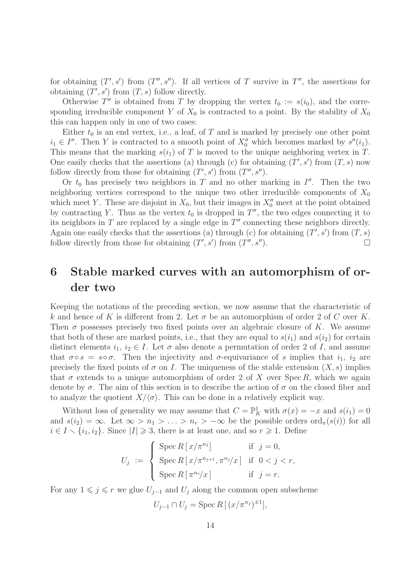for obtaining  $(T', s')$  from  $(T'', s'')$ . If all vertices of T survive in  $T''$ , the assertions for obtaining  $(T', s')$  from  $(T, s)$  follow directly.

Otherwise T'' is obtained from T by dropping the vertex  $t_0 := s(i_0)$ , and the corresponding irreducible component Y of  $X_0$  is contracted to a point. By the stability of  $X_0$ this can happen only in one of two cases:

Either  $t_0$  is an end vertex, i.e., a leaf, of T and is marked by precisely one other point  $i_1 \in I''$ . Then Y is contracted to a smooth point of  $X_0''$  which becomes marked by  $s''(i_1)$ . This means that the marking  $s(i_1)$  of T is moved to the unique neighboring vertex in T. One easily checks that the assertions (a) through (c) for obtaining  $(T', s')$  from  $(T, s)$  now follow directly from those for obtaining  $(T', s')$  from  $(T'', s'')$ .

Or  $t_0$  has precisely two neighbors in T and no other marking in I''. Then the two neighboring vertices correspond to the unique two other irreducible components of  $X_0$ which meet Y. These are disjoint in  $X_0$ , but their images in  $X''_0$  meet at the point obtained by contracting Y. Thus as the vertex  $t_0$  is dropped in  $T''$ , the two edges connecting it to its neighbors in T are replaced by a single edge in  $T''$  connecting these neighbors directly. Again one easily checks that the assertions (a) through (c) for obtaining  $(T', s')$  from  $(T, s)$ follow directly from those for obtaining  $(T', s')$  from  $(T'', s'')$ .

## 6 Stable marked curves with an automorphism of order two

Keeping the notations of the preceding section, we now assume that the characteristic of k and hence of K is different from 2. Let  $\sigma$  be an automorphism of order 2 of C over K. Then  $\sigma$  possesses precisely two fixed points over an algebraic closure of K. We assume that both of these are marked points, i.e., that they are equal to  $s(i_1)$  and  $s(i_2)$  for certain distinct elements  $i_1, i_2 \in I$ . Let  $\sigma$  also denote a permutation of order 2 of I, and assume that  $\sigma \circ s = s \circ \sigma$ . Then the injectivity and  $\sigma$ -equivariance of s implies that  $i_1$ ,  $i_2$  are precisely the fixed points of  $\sigma$  on I. The uniqueness of the stable extension  $(X, s)$  implies that  $\sigma$  extends to a unique automorphism of order 2 of X over Spec R, which we again denote by  $\sigma$ . The aim of this section is to describe the action of  $\sigma$  on the closed fiber and to analyze the quotient  $X/\langle \sigma \rangle$ . This can be done in a relatively explicit way.

Without loss of generality we may assume that  $C = \mathbb{P}^1_K$  with  $\sigma(x) = -x$  and  $s(i_1) = 0$ and  $s(i_2) = \infty$ . Let  $\infty > n_1 > \ldots > n_r > -\infty$  be the possible orders ord<sub> $\pi$ </sub>(s(i)) for all  $i \in I \setminus \{i_1, i_2\}$ . Since  $|I| \geq 3$ , there is at least one, and so  $r \geq 1$ . Define

$$
U_j := \begin{cases} \operatorname{Spec} R\left[\frac{x}{\pi^{n_1}}\right] & \text{if } j = 0, \\ \operatorname{Spec} R\left[\frac{x}{\pi^{n_{j+1}}}, \frac{x}{\pi^{n_j}}\right] & \text{if } 0 < j < r, \\ \operatorname{Spec} R\left[\frac{x}{\pi^{n_r}}\right] & \text{if } j = r. \end{cases}
$$

For any  $1 \leq j \leq r$  we glue  $U_{j-1}$  and  $U_j$  along the common open subscheme

$$
U_{j-1} \cap U_j = \operatorname{Spec} R\left[ (x/\pi^{n_j})^{\pm 1} \right],
$$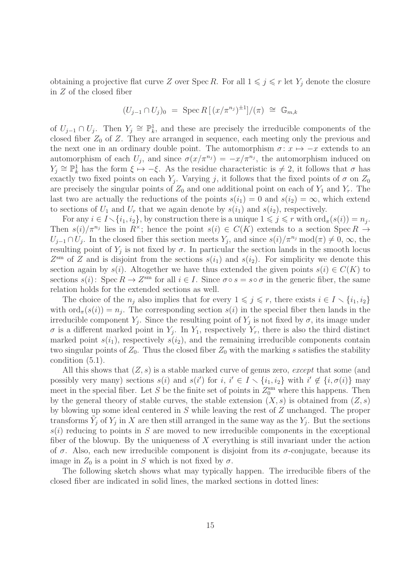obtaining a projective flat curve Z over Spec R. For all  $1 \leq j \leq r$  let  $Y_j$  denote the closure in Z of the closed fiber

$$
(U_{j-1} \cap U_j)_0 = \text{Spec } R[(x/\pi^{n_j})^{\pm 1}]/(\pi) \cong \mathbb{G}_{m,k}
$$

of  $U_{j-1} \cap U_j$ . Then  $Y_j \cong \mathbb{P}^1_k$ , and these are precisely the irreducible components of the closed fiber  $Z_0$  of  $Z$ . They are arranged in sequence, each meeting only the previous and the next one in an ordinary double point. The automorphism  $\sigma: x \mapsto -x$  extends to an automorphism of each  $U_j$ , and since  $\sigma(x/\pi^{n_j}) = -x/\pi^{n_j}$ , the automorphism induced on  $Y_j \cong \mathbb{P}_k^1$  has the form  $\xi \mapsto -\xi$ . As the residue characteristic is  $\neq 2$ , it follows that  $\sigma$  has exactly two fixed points on each  $Y_j$ . Varying j, it follows that the fixed points of  $\sigma$  on  $Z_0$ are precisely the singular points of  $Z_0$  and one additional point on each of  $Y_1$  and  $Y_r$ . The last two are actually the reductions of the points  $s(i_1) = 0$  and  $s(i_2) = \infty$ , which extend to sections of  $U_1$  and  $U_r$  that we again denote by  $s(i_1)$  and  $s(i_2)$ , respectively.

For any  $i \in I \setminus \{i_1, i_2\}$ , by construction there is a unique  $1 \leq j \leq r$  with  $\text{ord}_{\pi}(s(i)) = n_j$ . Then  $s(i)/\pi^{n_j}$  lies in  $R^{\times}$ ; hence the point  $s(i) \in C(K)$  extends to a section Spec  $R \to$  $U_{j-1} \cap U_j$ . In the closed fiber this section meets  $Y_j$ , and since  $s(i)/\pi^{n_j} \mod (\pi) \neq 0$ ,  $\infty$ , the resulting point of  $Y_j$  is not fixed by  $\sigma$ . In particular the section lands in the smooth locus  $Z<sup>sm</sup>$  of Z and is disjoint from the sections  $s(i_1)$  and  $s(i_2)$ . For simplicity we denote this section again by  $s(i)$ . Altogether we have thus extended the given points  $s(i) \in C(K)$  to sections  $s(i)$ : Spec  $R \to Z^{sm}$  for all  $i \in I$ . Since  $\sigma \circ s = s \circ \sigma$  in the generic fiber, the same relation holds for the extended sections as well.

The choice of the  $n_i$  also implies that for every  $1 \leq j \leq r$ , there exists  $i \in I \setminus \{i_1, i_2\}$ with  $\text{ord}_{\pi}(s(i)) = n_j$ . The corresponding section  $s(i)$  in the special fiber then lands in the irreducible component  $Y_j$ . Since the resulting point of  $Y_j$  is not fixed by  $\sigma$ , its image under  $\sigma$  is a different marked point in  $Y_j$ . In  $Y_1$ , respectively  $Y_r$ , there is also the third distinct marked point  $s(i_1)$ , respectively  $s(i_2)$ , and the remaining irreducible components contain two singular points of  $Z_0$ . Thus the closed fiber  $Z_0$  with the marking s satisfies the stability condition (5.1).

All this shows that  $(Z, s)$  is a stable marked curve of genus zero, except that some (and possibly very many) sections  $s(i)$  and  $s(i')$  for  $i, i' \in I \setminus \{i_1, i_2\}$  with  $i' \notin \{i, \sigma(i)\}$  may meet in the special fiber. Let S be the finite set of points in  $Z_0^{\text{sm}}$  where this happens. Then by the general theory of stable curves, the stable extension  $(X, s)$  is obtained from  $(Z, s)$ by blowing up some ideal centered in S while leaving the rest of Z unchanged. The proper transforms  $\tilde{Y}_j$  of  $Y_j$  in X are then still arranged in the same way as the  $Y_j$ . But the sections  $s(i)$  reducing to points in S are moved to new irreducible components in the exceptional fiber of the blowup. By the uniqueness of  $X$  everything is still invariant under the action of  $\sigma$ . Also, each new irreducible component is disjoint from its  $\sigma$ -conjugate, because its image in  $Z_0$  is a point in S which is not fixed by  $\sigma$ .

The following sketch shows what may typically happen. The irreducible fibers of the closed fiber are indicated in solid lines, the marked sections in dotted lines: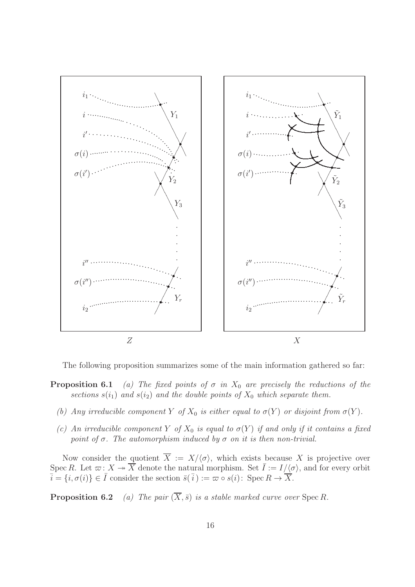

The following proposition summarizes some of the main information gathered so far:

- **Proposition 6.1** (a) The fixed points of  $\sigma$  in  $X_0$  are precisely the reductions of the sections  $s(i_1)$  and  $s(i_2)$  and the double points of  $X_0$  which separate them.
	- (b) Any irreducible component Y of  $X_0$  is either equal to  $\sigma(Y)$  or disjoint from  $\sigma(Y)$ .
	- (c) An irreducible component Y of  $X_0$  is equal to  $\sigma(Y)$  if and only if it contains a fixed point of  $\sigma$ . The automorphism induced by  $\sigma$  on it is then non-trivial.

Now consider the quotient  $\overline{X} := X/\langle \sigma \rangle$ , which exists because X is projective over Spec R. Let  $\varpi$ :  $X \twoheadrightarrow \overrightarrow{X}$  denote the natural morphism. Set  $\overline{I} := I/\langle \sigma \rangle$ , and for every orbit  $\overline{i} = \{i, \sigma(i)\} \in \overline{I}$  consider the section  $\overline{s}(\overline{i}) := \overline{\omega} \circ s(i)$ : Spec  $R \to \overline{X}$ .

**Proposition 6.2** (a) The pair  $(\overline{X}, \overline{s})$  is a stable marked curve over Spec R.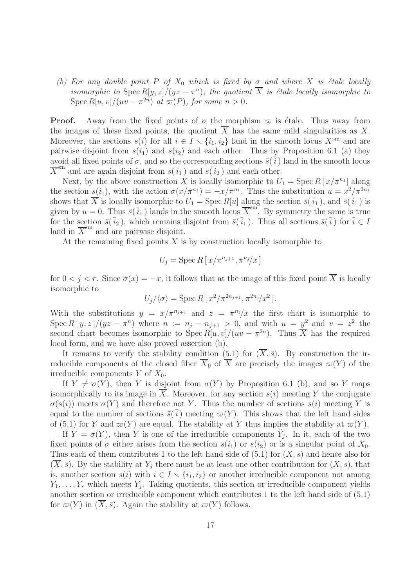(b) For any double point P of  $X_0$  which is fixed by  $\sigma$  and where X is étale locally isomorphic to  $\text{Spec } R[y, z]/(yz - \pi^n)$ , the quotient  $\overline{X}$  is étale locally isomorphic to Spec  $R[u, v]/(uv - \pi^{2n})$  at  $\varpi(P)$ , for some  $n > 0$ .

**Proof.** Away from the fixed points of  $\sigma$  the morphism  $\varpi$  is étale. Thus away from the images of these fixed points, the quotient  $X$  has the same mild singularities as  $X$ . Moreover, the sections  $s(i)$  for all  $i \in I \setminus \{i_1, i_2\}$  land in the smooth locus  $X^{sm}$  and are pairwise disjoint from  $s(i_1)$  and  $s(i_2)$  and each other. Thus by Proposition 6.1 (a) they avoid all fixed points of  $\sigma$ , and so the corresponding sections  $\bar{s}(\bar{i})$  land in the smooth locus  $\overline{X}^{\text{sm}}$  and are again disjoint from  $\overline{s}(\overline{i_1})$  and  $\overline{s}(\overline{i_2})$  and each other.

Next, by the above construction X is locally isomorphic to  $U_1 = \text{Spec } R[x/\pi^{n_1}]$  along the section  $s(i_1)$ , with the action  $\sigma(x/\pi^{n_1}) = -x/\pi^{n_1}$ . Thus the substitution  $u = x^2/\pi^{2n_1}$ shows that  $\overline{X}$  is locally isomorphic to  $U_1 = \text{Spec } R[u]$  along the section  $\overline{s}(\overline{i}_1)$ , and  $\overline{s}(\overline{i}_1)$  is given by  $u = 0$ . Thus  $\overline{s}(\overline{i}_1)$  lands in the smooth locus  $\overline{X}^{\text{sm}}$ . By symmetry the same is true for the section  $\bar{s}(\bar{i}_2)$ , which remains disjoint from  $\bar{s}(\bar{i}_1)$ . Thus all sections  $\bar{s}(\bar{i})$  for  $\bar{i} \in \bar{I}$ land in  $\overline{X}$ <sup>sm</sup> and are pairwise disjoint.

At the remaining fixed points  $X$  is by construction locally isomorphic to

$$
U_j = \operatorname{Spec} R\left[\frac{x}{\pi^{n_{j+1}}}, \pi^{n_j}/x\right]
$$

for  $0 < j < r$ . Since  $\sigma(x) = -x$ , it follows that at the image of this fixed point  $\overline{X}$  is locally isomorphic to

$$
U_j/\langle \sigma \rangle = \operatorname{Spec} R\left[\frac{x^2}{\pi^{2n_{j+1}}}, \frac{x^{2n_j}}{x^2}\right].
$$

With the substitutions  $y = x/\pi^{n_{j+1}}$  and  $z = \pi^{n_j}/x$  the first chart is isomorphic to Spec  $R[y, z]/(yz - \pi^n)$  where  $n := n_j - n_{j+1} > 0$ , and with  $u = y^2$  and  $v = z^2$  the second chart becomes isomorphic to  $Spec R[u, v]/(uv - \pi^{2n})$ . Thus  $\overline{X}$  has the required local form, and we have also proved assertion (b).

It remains to verify the stability condition (5.1) for  $(\overline{X},\overline{s})$ . By construction the irreducible components of the closed fiber  $\overline{X}_0$  of  $\overline{X}$  are precisely the images  $\varpi(Y)$  of the irreducible components  $Y$  of  $X_0$ .

If  $Y \neq \sigma(Y)$ , then Y is disjoint from  $\sigma(Y)$  by Proposition 6.1 (b), and so Y maps isomorphically to its image in  $\overline{X}$ . Moreover, for any section  $s(i)$  meeting Y the conjugate  $\sigma(s(i))$  meets  $\sigma(Y)$  and therefore not Y. Thus the number of sections  $s(i)$  meeting Y is equal to the number of sections  $\bar{s}(\bar{i})$  meeting  $\bar{\varpi}(Y)$ . This shows that the left hand sides of (5.1) for Y and  $\varpi(Y)$  are equal. The stability at Y thus implies the stability at  $\varpi(Y)$ .

If  $Y = \sigma(Y)$ , then Y is one of the irreducible components  $\tilde{Y}_j$ . In it, each of the two fixed points of  $\sigma$  either arises from the section  $s(i_1)$  or  $s(i_2)$  or is a singular point of  $X_0$ . Thus each of them contributes 1 to the left hand side of  $(5.1)$  for  $(X, s)$  and hence also for  $(\overline{X}, \overline{s})$ . By the stability at  $Y_i$  there must be at least one other contribution for  $(X, s)$ , that is, another section  $s(i)$  with  $i \in I \setminus \{i_1, i_2\}$  or another irreducible component not among  $Y_1, \ldots, Y_r$  which meets  $Y_j$ . Taking quotients, this section or irreducible component yields another section or irreducible component which contributes 1 to the left hand side of (5.1) for  $\overline{\omega}(Y)$  in  $(\overline{X}, \overline{s})$ . Again the stability at  $\overline{\omega}(Y)$  follows.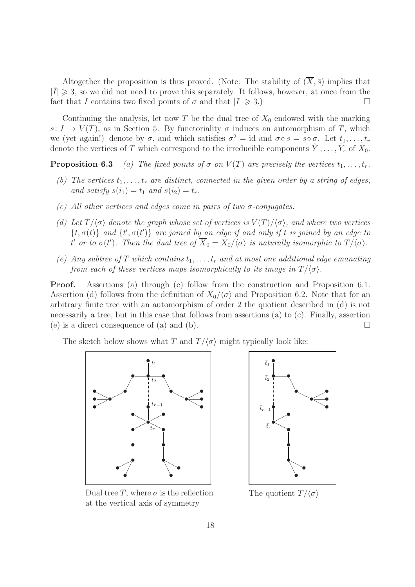Altogether the proposition is thus proved. (Note: The stability of  $(\overline{X}, \overline{s})$  implies that  $|\bar{I}| \geq 3$ , so we did not need to prove this separately. It follows, however, at once from the fact that I contains two fixed points of  $\sigma$  and that  $|I| \geq 3$ .)

Continuing the analysis, let now T be the dual tree of  $X_0$  endowed with the marking s:  $I \to V(T)$ , as in Section 5. By functoriality  $\sigma$  induces an automorphism of T, which we (yet again!) denote by  $\sigma$ , and which satisfies  $\sigma^2 = id$  and  $\sigma \circ s = s \circ \sigma$ . Let  $t_1, \ldots, t_r$ denote the vertices of T which correspond to the irreducible components  $\tilde{Y}_1, \ldots, \tilde{Y}_r$  of  $X_0$ .

**Proposition 6.3** (a) The fixed points of  $\sigma$  on  $V(T)$  are precisely the vertices  $t_1, \ldots, t_r$ .

- (b) The vertices  $t_1, \ldots, t_r$  are distinct, connected in the given order by a string of edges, and satisfy  $s(i_1) = t_1$  and  $s(i_2) = t_r$ .
- (c) All other vertices and edges come in pairs of two  $\sigma$ -conjugates.
- (d) Let  $T/\langle \sigma \rangle$  denote the graph whose set of vertices is  $V(T)/\langle \sigma \rangle$ , and where two vertices  $\{t, \sigma(t)\}\$ and  $\{t', \sigma(t')\}$  are joined by an edge if and only if t is joined by an edge to t' or to  $\sigma(t')$ . Then the dual tree of  $X_0 = X_0/\langle \sigma \rangle$  is naturally isomorphic to  $T/\langle \sigma \rangle$ .
- (e) Any subtree of T which contains  $t_1, \ldots, t_r$  and at most one additional edge emanating from each of these vertices maps isomorphically to its image in  $T/\langle \sigma \rangle$ .

Proof. Assertions (a) through (c) follow from the construction and Proposition 6.1. Assertion (d) follows from the definition of  $X_0/\langle \sigma \rangle$  and Proposition 6.2. Note that for an arbitrary finite tree with an automorphism of order 2 the quotient described in (d) is not necessarily a tree, but in this case that follows from assertions (a) to (c). Finally, assertion (e) is a direct consequence of (a) and (b).  $\Box$ 

The sketch below shows what T and  $T/\langle \sigma \rangle$  might typically look like:





Dual tree T, where  $\sigma$  is the reflection at the vertical axis of symmetry

The quotient  $T/\langle \sigma \rangle$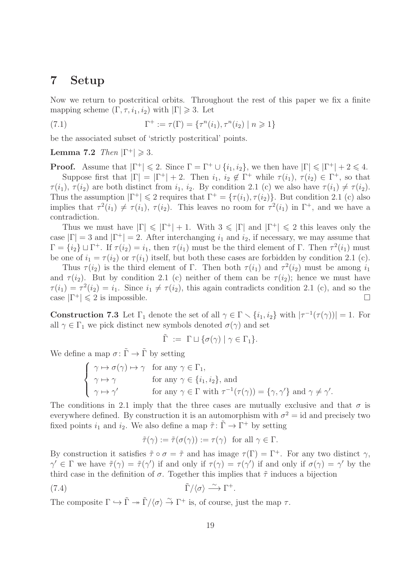#### 7 Setup

Now we return to postcritical orbits. Throughout the rest of this paper we fix a finite mapping scheme  $(\Gamma, \tau, i_1, i_2)$  with  $|\Gamma| \geq 3$ . Let

(7.1) 
$$
\Gamma^+ := \tau(\Gamma) = \{ \tau^n(i_1), \tau^n(i_2) \mid n \geq 1 \}
$$

be the associated subset of 'strictly postcritical' points.

Lemma 7.2  $Then |\Gamma^+| \geq 3$ .

**Proof.** Assume that  $|\Gamma^+| \leq 2$ . Since  $\Gamma = \Gamma^+ \cup \{i_1, i_2\}$ , we then have  $|\Gamma| \leq |\Gamma^+| + 2 \leq 4$ . Suppose first that  $|\Gamma| = |\Gamma^+| + 2$ . Then  $i_1, i_2 \notin \Gamma^+$  while  $\tau(i_1), \tau(i_2) \in \Gamma^+$ , so that  $\tau(i_1), \tau(i_2)$  are both distinct from  $i_1, i_2$ . By condition 2.1 (c) we also have  $\tau(i_1) \neq \tau(i_2)$ . Thus the assumption  $|\Gamma^+| \leq 2$  requires that  $\Gamma^+ = {\tau(i_1), \tau(i_2)}$ . But condition 2.1 (c) also implies that  $\tau^2(i_1) \neq \tau(i_1)$ ,  $\tau(i_2)$ . This leaves no room for  $\tau^2(i_1)$  in  $\Gamma^+$ , and we have a contradiction.

Thus we must have  $|\Gamma| \leq |\Gamma^+| + 1$ . With  $3 \leq |\Gamma|$  and  $|\Gamma^+| \leq 2$  this leaves only the case  $|\Gamma| = 3$  and  $|\Gamma^+| = 2$ . After interchanging  $i_1$  and  $i_2$ , if necessary, we may assume that  $\Gamma = \{i_2\} \sqcup \Gamma^+$ . If  $\tau(i_2) = i_1$ , then  $\tau(i_1)$  must be the third element of  $\Gamma$ . Then  $\tau^2(i_1)$  must be one of  $i_1 = \tau(i_2)$  or  $\tau(i_1)$  itself, but both these cases are forbidden by condition 2.1 (c).

Thus  $\tau(i_2)$  is the third element of Γ. Then both  $\tau(i_1)$  and  $\tau^2(i_2)$  must be among  $i_1$ and  $\tau(i_2)$ . But by condition 2.1 (c) neither of them can be  $\tau(i_2)$ ; hence we must have  $\tau(i_1) = \tau^2(i_2) = i_1$ . Since  $i_1 \neq \tau(i_2)$ , this again contradicts condition 2.1 (c), and so the case  $|\Gamma^+| \leq 2$  is impossible.

**Construction 7.3** Let  $\Gamma_1$  denote the set of all  $\gamma \in \Gamma \setminus \{i_1, i_2\}$  with  $|\tau^{-1}(\tau(\gamma))| = 1$ . For all  $\gamma \in \Gamma_1$  we pick distinct new symbols denoted  $\sigma(\gamma)$  and set

$$
\tilde{\Gamma} := \Gamma \sqcup \{ \sigma(\gamma) \mid \gamma \in \Gamma_1 \}.
$$

We define a map  $\sigma\colon \widetilde{\Gamma}\to \widetilde{\Gamma}$  by setting

$$
\begin{cases}\n\gamma \mapsto \sigma(\gamma) \mapsto \gamma & \text{for any } \gamma \in \Gamma_1, \\
\gamma \mapsto \gamma & \text{for any } \gamma \in \{i_1, i_2\}, \text{ and} \\
\gamma \mapsto \gamma' & \text{for any } \gamma \in \Gamma \text{ with } \tau^{-1}(\tau(\gamma)) = \{\gamma, \gamma'\} \text{ and } \gamma \neq \gamma'.\n\end{cases}
$$

The conditions in 2.1 imply that the three cases are mutually exclusive and that  $\sigma$  is everywhere defined. By construction it is an automorphism with  $\sigma^2 = id$  and precisely two fixed points  $i_1$  and  $i_2$ . We also define a map  $\tilde{\tau}$ :  $\tilde{\Gamma} \to \Gamma^+$  by setting

$$
\tilde{\tau}(\gamma) := \tilde{\tau}(\sigma(\gamma)) := \tau(\gamma) \text{ for all } \gamma \in \Gamma.
$$

By construction it satisfies  $\tilde{\tau} \circ \sigma = \tilde{\tau}$  and has image  $\tau(\Gamma) = \Gamma^+$ . For any two distinct  $\gamma$ ,  $\gamma' \in \Gamma$  we have  $\tilde{\tau}(\gamma) = \tilde{\tau}(\gamma')$  if and only if  $\tau(\gamma) = \tau(\gamma')$  if and only if  $\sigma(\gamma) = \gamma'$  by the third case in the definition of  $\sigma$ . Together this implies that  $\tilde{\tau}$  induces a bijection

(7.4) 
$$
\tilde{\Gamma}/\langle \sigma \rangle \stackrel{\sim}{\longrightarrow} \Gamma^+.
$$

The composite  $\Gamma \hookrightarrow \tilde{\Gamma} \twoheadrightarrow \tilde{\Gamma}/\langle \sigma \rangle \stackrel{\sim}{\to} \Gamma^+$  is, of course, just the map  $\tau$ .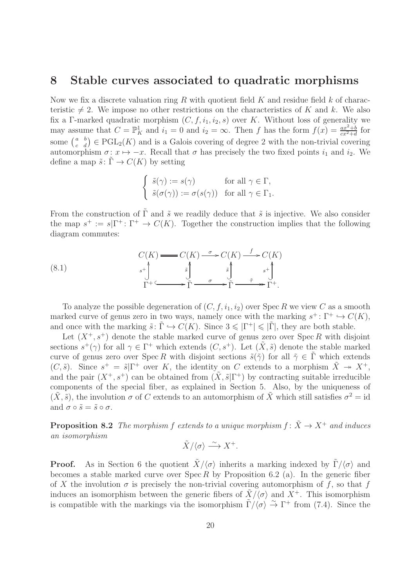#### 8 Stable curves associated to quadratic morphisms

Now we fix a discrete valuation ring R with quotient field  $K$  and residue field  $k$  of characteristic  $\neq$  2. We impose no other restrictions on the characteristics of K and k. We also fix a Γ-marked quadratic morphism  $(C, f, i_1, i_2, s)$  over K. Without loss of generality we may assume that  $C = \mathbb{P}^1_K$  and  $i_1 = 0$  and  $i_2 = \infty$ . Then f has the form  $f(x) = \frac{ax^2 + b}{cx^2 + d}$  for some  $\begin{pmatrix} a & b \\ c & d \end{pmatrix} \in \text{PGL}_2(K)$  and is a Galois covering of degree 2 with the non-trivial covering automorphism  $\sigma: x \mapsto -x$ . Recall that  $\sigma$  has precisely the two fixed points  $i_1$  and  $i_2$ . We define a map  $\tilde{s}$ :  $\tilde{\Gamma} \to C(K)$  by setting

$$
\begin{cases} \tilde{s}(\gamma) := s(\gamma) & \text{for all } \gamma \in \Gamma, \\ \tilde{s}(\sigma(\gamma)) := \sigma(s(\gamma)) & \text{for all } \gamma \in \Gamma_1. \end{cases}
$$

From the construction of  $\tilde{\Gamma}$  and  $\tilde{s}$  we readily deduce that  $\tilde{s}$  is injective. We also consider the map  $s^+ := s|\Gamma^+ : \Gamma^+ \to C(K)$ . Together the construction implies that the following diagram commutes:

(8.1) 
$$
C(K) \longrightarrow C(K) \longrightarrow C(K) \longrightarrow C(K)
$$

$$
s^+ \longrightarrow \int_{\Gamma^+}^s \longrightarrow \int_{\tilde{\Gamma}}^s \longrightarrow \int_{\tilde{\Gamma}}^s \longrightarrow \int_{\tilde{\Gamma}}^s \longrightarrow \int_{\tilde{\Gamma}}^s \longrightarrow \Gamma^+.
$$

To analyze the possible degeneration of  $(C, f, i_1, i_2)$  over Spec R we view C as a smooth marked curve of genus zero in two ways, namely once with the marking  $s^+$ :  $\Gamma^+ \hookrightarrow C(K)$ , and once with the marking  $\tilde{s} \colon \tilde{\Gamma} \hookrightarrow C(K)$ . Since  $3 \leq |\Gamma^+| \leq |\tilde{\Gamma}|$ , they are both stable.

Let  $(X^+, s^+)$  denote the stable marked curve of genus zero over Spec R with disjoint sections  $s^+(\gamma)$  for all  $\gamma \in \Gamma^+$  which extends  $(C, s^+)$ . Let  $(\tilde{X}, \tilde{s})$  denote the stable marked curve of genus zero over Spec R with disjoint sections  $\tilde{s}(\tilde{\gamma})$  for all  $\tilde{\gamma} \in \tilde{\Gamma}$  which extends  $(C, \tilde{s})$ . Since  $s^+ = \tilde{s}|\Gamma^+$  over K, the identity on C extends to a morphism  $\tilde{X} \to X^+$ , and the pair  $(X^+, s^+)$  can be obtained from  $(X, \tilde{s} | \Gamma^+)$  by contracting suitable irreducible components of the special fiber, as explained in Section 5. Also, by the uniqueness of  $(\tilde{X}, \tilde{s})$ , the involution  $\sigma$  of C extends to an automorphism of  $\tilde{X}$  which still satisfies  $\sigma^2 = id$ and  $\sigma \circ \tilde{s} = \tilde{s} \circ \sigma$ .

**Proposition 8.2** The morphism f extends to a unique morphism  $f: \tilde{X} \to X^+$  and induces an isomorphism

$$
\tilde{X}/\langle \sigma \rangle \xrightarrow{\sim} X^+.
$$

**Proof.** As in Section 6 the quotient  $\tilde{X}/\langle \sigma \rangle$  inherits a marking indexed by  $\tilde{\Gamma}/\langle \sigma \rangle$  and becomes a stable marked curve over  $Spec R$  by Proposition 6.2 (a). In the generic fiber of X the involution  $\sigma$  is precisely the non-trivial covering automorphism of f, so that f induces an isomorphism between the generic fibers of  $\tilde{X}/\langle \sigma \rangle$  and  $X^+$ . This isomorphism is compatible with the markings via the isomorphism  $\tilde{\Gamma}/\langle \sigma \rangle \stackrel{\sim}{\rightarrow} \Gamma^+$  from (7.4). Since the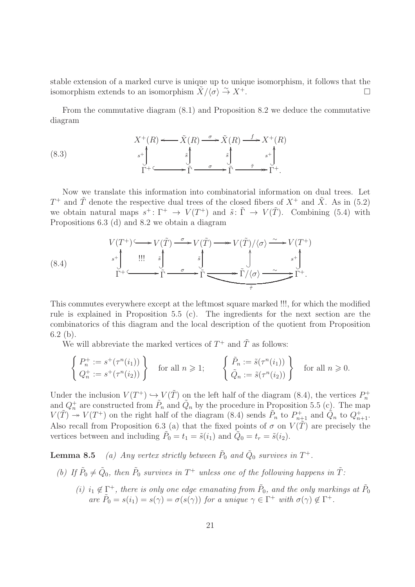stable extension of a marked curve is unique up to unique isomorphism, it follows that the isomorphism extends to an isomorphism  $\tilde{X}/\langle \sigma \rangle \stackrel{\sim}{\to} X^+$ .

From the commutative diagram (8.1) and Proposition 8.2 we deduce the commutative diagram

(8.3) 
$$
X^+(R) \longleftarrow \tilde{X}(R) \xrightarrow{\sigma} \tilde{X}(R) \xrightarrow{f} X^+(R)
$$

$$
s^+ \downarrow \qquad \qquad \tilde{s} \downarrow \qquad \qquad \tilde{s} \downarrow \qquad \qquad s^+ \downarrow \qquad \qquad \tilde{\Gamma} \xrightarrow{\sigma} \tilde{\Gamma} \xrightarrow{\tilde{\tau} \xrightarrow{\tilde{\tau}} \tilde{\Gamma}} \tilde{\Gamma}^+.
$$

Now we translate this information into combinatorial information on dual trees. Let  $T^+$  and  $\tilde{T}$  denote the respective dual trees of the closed fibers of  $X^+$  and  $\tilde{X}$ . As in (5.2) we obtain natural maps  $s^+ \colon \Gamma^+ \to V(T^+)$  and  $\tilde{s} \colon \tilde{\Gamma} \to V(\tilde{T})$ . Combining (5.4) with Propositions 6.3 (d) and 8.2 we obtain a diagram

(8.4)  
\n
$$
V(T^+) \longrightarrow V(\tilde{T}) \longrightarrow V(\tilde{T}) \longrightarrow V(\tilde{T})/\langle \sigma \rangle \longrightarrow V(T^+)
$$
\n
$$
\xrightarrow{s^+}
$$
\n
$$
\xrightarrow{\text{III}} \begin{array}{c}\n\tilde{s} \\
\tilde{J} \\
\tilde{\Gamma}^+ \longrightarrow \tilde{\Gamma} \longrightarrow \tilde{\Gamma} \longrightarrow \tilde{\Gamma}/\langle \sigma \rangle \longrightarrow \tilde{\Gamma}^+.\n\end{array}
$$

This commutes everywhere except at the leftmost square marked !!!, for which the modified rule is explained in Proposition 5.5 (c). The ingredients for the next section are the combinatorics of this diagram and the local description of the quotient from Proposition 6.2 (b).

We will abbreviate the marked vertices of  $T^+$  and  $\tilde{T}$  as follows:

$$
\begin{cases}\nP_n^+ := s^+(\tau^n(i_1)) \\
Q_n^+ := s^+(\tau^n(i_2))\n\end{cases}\n\text{ for all } n \geq 1; \qquad\n\begin{cases}\n\tilde{P}_n := \tilde{s}(\tau^n(i_1)) \\
\tilde{Q}_n := \tilde{s}(\tau^n(i_2))\n\end{cases}\n\text{ for all } n \geq 0.
$$

Under the inclusion  $V(T^+) \hookrightarrow V(\tilde{T})$  on the left half of the diagram (8.4), the vertices  $P_n^+$ and  $Q_n^+$  are constructed from  $\tilde{P}_n$  and  $\tilde{Q}_n$  by the procedure in Proposition 5.5 (c). The map  $V(\tilde{T}) \rightarrow V(T^+)$  on the right half of the diagram (8.4) sends  $\tilde{P}_n$  to  $P_{n+1}^+$  and  $\tilde{Q}_n$  to  $Q_{n+1}^+$ . Also recall from Proposition 6.3 (a) that the fixed points of  $\sigma$  on  $V(\tilde{T})$  are precisely the vertices between and including  $\tilde{P}_0 = t_1 = \tilde{s}(i_1)$  and  $\tilde{Q}_0 = t_r = \tilde{s}(i_2)$ .

**Lemma 8.5** (a) Any vertex strictly between  $\tilde{P}_0$  and  $\tilde{Q}_0$  survives in  $T^+$ .

- (b) If  $\tilde{P}_0 \neq \tilde{Q}_0$ , then  $\tilde{P}_0$  survives in  $T^+$  unless one of the following happens in  $\tilde{T}$ :
	- (i)  $i_1 \notin \Gamma^+$ , there is only one edge emanating from  $\tilde{P}_0$ , and the only markings at  $\tilde{P}_0$  are  $\tilde{P}_0 = s(i_1) = s(\gamma) = \sigma(s(\gamma))$  for a unique  $\gamma \in \Gamma^+$  with  $\sigma(\gamma) \notin \Gamma^+$ .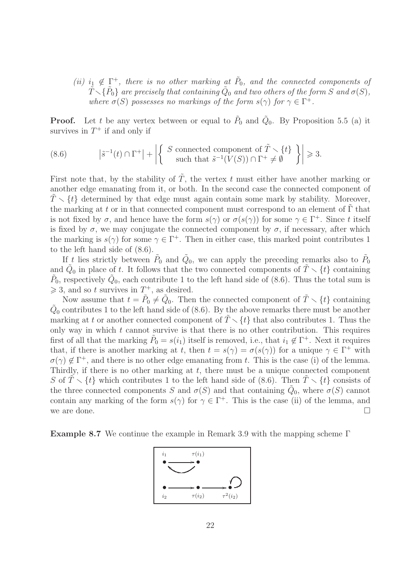(ii)  $i_1 \notin \Gamma^+$ , there is no other marking at  $\tilde{P}_0$ , and the connected components of  $\tilde{T} \diagdown \{ \tilde{P}_0 \}$  are precisely that containing  $\tilde{Q}_0$  and two others of the form  $S$  and  $\sigma(S),$ where  $\sigma(S)$  possesses no markings of the form  $s(\gamma)$  for  $\gamma \in \Gamma^+$ .

**Proof.** Let t be any vertex between or equal to  $\tilde{P}_0$  and  $\tilde{Q}_0$ . By Proposition 5.5 (a) it survives in  $T^+$  if and only if

(8.6) 
$$
|\tilde{s}^{-1}(t) \cap \Gamma^+| + \left| \left\{ \begin{array}{c} S \text{ connected component of } \tilde{T} \setminus \{t\} \\ \text{such that } \tilde{s}^{-1}(V(S)) \cap \Gamma^+ \neq \emptyset \end{array} \right\} \right| \geq 3.
$$

First note that, by the stability of  $\tilde{T}$ , the vertex t must either have another marking or another edge emanating from it, or both. In the second case the connected component of  $T \setminus \{t\}$  determined by that edge must again contain some mark by stability. Moreover, the marking at t or in that connected component must correspond to an element of  $\Gamma$  that is not fixed by  $\sigma$ , and hence have the form  $s(\gamma)$  or  $\sigma(s(\gamma))$  for some  $\gamma \in \Gamma^+$ . Since t itself is fixed by  $\sigma$ , we may conjugate the connected component by  $\sigma$ , if necessary, after which the marking is  $s(\gamma)$  for some  $\gamma \in \Gamma^+$ . Then in either case, this marked point contributes 1 to the left hand side of (8.6).

If t lies strictly between  $\tilde{P}_0$  and  $\tilde{Q}_0$ , we can apply the preceding remarks also to  $\tilde{P}_0$ and  $\tilde{Q}_0$  in place of t. It follows that the two connected components of  $\tilde{T} \setminus \{t\}$  containing  $\tilde{P}_0$ , respectively  $\tilde{Q}_0$ , each contribute 1 to the left hand side of (8.6). Thus the total sum is  $\geq 3$ , and so t survives in  $T^+$ , as desired.

Now assume that  $t = \tilde{P}_0 \neq \tilde{Q}_0$ . Then the connected component of  $\tilde{T} \setminus \{t\}$  containing  $\tilde{Q}_0$  contributes 1 to the left hand side of (8.6). By the above remarks there must be another marking at t or another connected component of  $\tilde{T} \setminus \{t\}$  that also contributes 1. Thus the only way in which  $t$  cannot survive is that there is no other contribution. This requires first of all that the marking  $\tilde{P}_0 = s(i_1)$  itself is removed, i.e., that  $i_1 \notin \Gamma^+$ . Next it requires that, if there is another marking at t, then  $t = s(\gamma) = \sigma(s(\gamma))$  for a unique  $\gamma \in \Gamma^+$  with  $\sigma(\gamma) \notin \Gamma^+$ , and there is no other edge emanating from t. This is the case (i) of the lemma. Thirdly, if there is no other marking at  $t$ , there must be a unique connected component S of  $\tilde{T} \setminus \{t\}$  which contributes 1 to the left hand side of (8.6). Then  $\tilde{T} \setminus \{t\}$  consists of the three connected components S and  $\sigma(S)$  and that containing  $\tilde{Q}_0$ , where  $\sigma(S)$  cannot contain any marking of the form  $s(\gamma)$  for  $\gamma \in \Gamma^+$ . This is the case (ii) of the lemma, and we are done.

**Example 8.7** We continue the example in Remark 3.9 with the mapping scheme  $\Gamma$ 

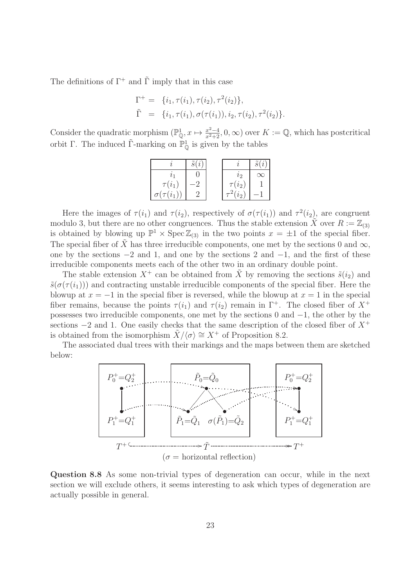The definitions of  $\Gamma^+$  and  $\tilde{\Gamma}$  imply that in this case

$$
\Gamma^+ = \{i_1, \tau(i_1), \tau(i_2), \tau^2(i_2)\}, \n\tilde{\Gamma} = \{i_1, \tau(i_1), \sigma(\tau(i_1)), i_2, \tau(i_2), \tau^2(i_2)\}.
$$

Consider the quadratic morphism  $(\mathbb{P}_{\mathbb{Q}}^1, x \mapsto \frac{x^2-4}{x^2+2}, 0, \infty)$  over  $K := \mathbb{Q}$ , which has postcritical orbit Γ. The induced  $\tilde{\Gamma}$ -marking on  $\mathbb{P}^1_{\mathbb{Q}}$  is given by the tables

|                   |  |             | $\widetilde{\phantom{a}}$ |
|-------------------|--|-------------|---------------------------|
|                   |  | ЪD          | $\propto$                 |
| $\tau(i_1)$       |  | $\tau(i_2)$ |                           |
| $\sigma(\tau(i_1$ |  | $\iota$     |                           |

Here the images of  $\tau(i_1)$  and  $\tau(i_2)$ , respectively of  $\sigma(\tau(i_1))$  and  $\tau^2(i_2)$ , are congruent modulo 3, but there are no other congruences. Thus the stable extension  $\tilde{X}$  over  $R := \mathbb{Z}_{(3)}$ is obtained by blowing up  $\mathbb{P}^1 \times \operatorname{Spec} \mathbb{Z}_{(3)}$  in the two points  $x = \pm 1$  of the special fiber. The special fiber of  $\tilde{X}$  has three irreducible components, one met by the sections 0 and  $\infty$ , one by the sections  $-2$  and 1, and one by the sections 2 and  $-1$ , and the first of these irreducible components meets each of the other two in an ordinary double point.

The stable extension  $X^+$  can be obtained from  $\tilde{X}$  by removing the sections  $\tilde{s}(i_2)$  and  $\tilde{s}(\sigma(\tau(i_1)))$  and contracting unstable irreducible components of the special fiber. Here the blowup at  $x = -1$  in the special fiber is reversed, while the blowup at  $x = 1$  in the special fiber remains, because the points  $\tau(i_1)$  and  $\tau(i_2)$  remain in  $\Gamma^+$ . The closed fiber of  $X^+$ possesses two irreducible components, one met by the sections 0 and −1, the other by the sections  $-2$  and 1. One easily checks that the same description of the closed fiber of  $X^+$ is obtained from the isomorphism  $\tilde{X}/\langle \sigma \rangle \cong X^+$  of Proposition 8.2.

The associated dual trees with their markings and the maps between them are sketched below:



Question 8.8 As some non-trivial types of degeneration can occur, while in the next section we will exclude others, it seems interesting to ask which types of degeneration are actually possible in general.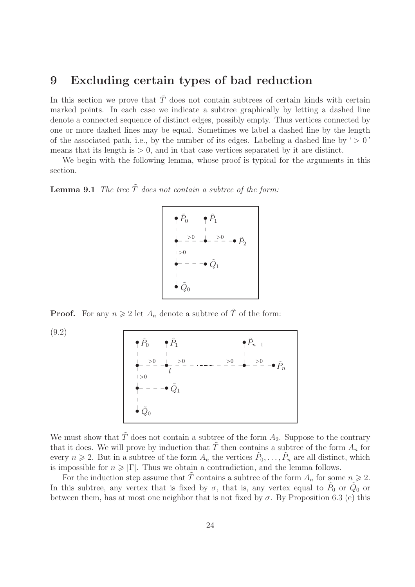#### 9 Excluding certain types of bad reduction

In this section we prove that  $\tilde{T}$  does not contain subtrees of certain kinds with certain marked points. In each case we indicate a subtree graphically by letting a dashed line denote a connected sequence of distinct edges, possibly empty. Thus vertices connected by one or more dashed lines may be equal. Sometimes we label a dashed line by the length of the associated path, i.e., by the number of its edges. Labeling a dashed line by ' $> 0$ ' means that its length is  $> 0$ , and in that case vertices separated by it are distinct.

We begin with the following lemma, whose proof is typical for the arguments in this section.

**Lemma 9.1** The tree  $\tilde{T}$  does not contain a subtree of the form:

$$
\begin{array}{ccc}\n\bullet & \tilde{P}_0 & \bullet & \tilde{P}_1 \\
\downarrow & \downarrow & \downarrow \\
\leftarrow & \stackrel{>0}{\leftarrow} & \stackrel{>0}{\leftarrow} & \stackrel{>0}{\leftarrow} & \stackrel{>0}{\leftarrow} \\
\downarrow & & & & & \\
\bullet & \stackrel{>0}{\leftarrow} & \stackrel{>0}{\leftarrow} & \stackrel{>0}{\leftarrow} \\
\downarrow & & & & \\
\downarrow & \tilde{Q}_0 & & & \\
\end{array}
$$

**Proof.** For any  $n \geq 2$  let  $A_n$  denote a subtree of  $\tilde{T}$  of the form:

(9.2)

$$
\begin{array}{ccc}\n\bullet & \tilde{P}_0 & \bullet & \tilde{P}_1 \\
\downarrow & \downarrow & \downarrow \\
\leftarrow & \stackrel{-50}{-} \leftarrow & \stackrel{-50}{-} \leftarrow & \stackrel{-50}{-} \leftarrow & \stackrel{-50}{-} \leftarrow & \stackrel{-50}{-} \leftarrow & \stackrel{-50}{-} \leftarrow & \tilde{P}_n \\
\downarrow & \downarrow & \downarrow & \downarrow & \stackrel{-50}{-} \leftarrow & \tilde{Q}_1 \\
\downarrow & \downarrow & \tilde{Q}_0\n\end{array}
$$

We must show that  $\tilde{T}$  does not contain a subtree of the form  $A_2$ . Suppose to the contrary that it does. We will prove by induction that  $\tilde{T}$  then contains a subtree of the form  $A_n$  for every  $n \geq 2$ . But in a subtree of the form  $A_n$  the vertices  $\tilde{P}_0, \ldots, \tilde{P}_n$  are all distinct, which is impossible for  $n \geq |\Gamma|$ . Thus we obtain a contradiction, and the lemma follows.

For the induction step assume that  $\tilde{T}$  contains a subtree of the form  $A_n$  for some  $n \geq 2$ . In this subtree, any vertex that is fixed by  $\sigma$ , that is, any vertex equal to  $\tilde{P}_0$  or  $\tilde{Q}_0$  or between them, has at most one neighbor that is not fixed by  $\sigma$ . By Proposition 6.3 (e) this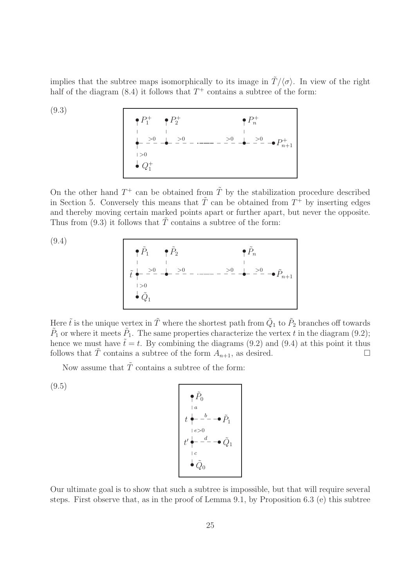implies that the subtree maps isomorphically to its image in  $\tilde{T}/\langle \sigma \rangle$ . In view of the right half of the diagram  $(8.4)$  it follows that  $T^+$  contains a subtree of the form:

$$
(9.3)
$$

• P + 1 • P + 2 • P + n • >0 <sup>&</sup>gt;<sup>0</sup> \_ \_ \_ \_• <sup>&</sup>gt;<sup>0</sup> \_ \_ \_ \_ <sup>&</sup>gt;<sup>0</sup> \_ \_ \_ \_• <sup>&</sup>gt;<sup>0</sup> \_ \_ \_ \_•<sup>P</sup> + n+1 • Q + 1

On the other hand  $T^+$  can be obtained from  $\tilde{T}$  by the stabilization procedure described in Section 5. Conversely this means that  $\tilde{T}$  can be obtained from  $T^+$  by inserting edges and thereby moving certain marked points apart or further apart, but never the opposite. Thus from (9.3) it follows that  $\tilde{T}$  contains a subtree of the form:

(9.4)

$$
\begin{array}{|c|c|}\n\hline\n\phi & \tilde{P}_1 & \phi & \tilde{P}_2 & \phi & \tilde{P}_n \\
\hline\n\ddot{t} & \frac{1}{\phi} & \frac{1}{\phi} & \frac{1}{\phi} & \frac{1}{\phi} & \frac{1}{\phi} & \frac{1}{\phi} \\
\hline\n\ddot{t} & \frac{1}{\phi} & \frac{1}{\phi} & \frac{1}{\phi} & \frac{1}{\phi} & \frac{1}{\phi} & \frac{1}{\phi} & \frac{1}{\phi} & \frac{1}{\phi} \\
\hline\n\ddot{t} & \frac{1}{\phi} & \frac{1}{\phi} & \frac{1}{\phi} & \frac{1}{\phi} & \frac{1}{\phi} & \frac{1}{\phi} & \frac{1}{\phi} & \frac{1}{\phi} & \frac{1}{\phi} \\
\hline\n\ddot{t} & \frac{1}{\phi} & \frac{1}{\phi} & \frac{1}{\phi} & \frac{1}{\phi} & \frac{1}{\phi} & \frac{1}{\phi} & \frac{1}{\phi} & \frac{1}{\phi} & \frac{1}{\phi} & \frac{1}{\phi} & \frac{1}{\phi} & \frac{1}{\phi} \\
\hline\n\ddot{t} & \frac{1}{\phi} & \frac{1}{\phi} & \frac{1}{\phi} & \frac{1}{\phi} & \frac{1}{\phi} & \frac{1}{\phi} & \frac{1}{\phi} & \frac{1}{\phi} & \frac{1}{\phi} & \frac{1}{\phi} & \frac{1}{\phi} & \frac{1}{\phi} & \frac{1}{\phi} \\
\hline\n\ddot{t} & \frac{1}{\phi} & \frac{1}{\phi} & \frac{1}{\phi} & \frac{1}{\phi} & \frac{1}{\phi} & \frac{1}{\phi} & \frac{1}{\phi} & \frac{1}{\phi} & \frac{1}{\phi} & \frac{1}{\phi} & \frac{1}{\phi} & \frac{1}{\phi} & \frac{1}{\phi} & \frac{1}{\phi} & \frac{1}{\phi} \\
\hline\n\ddot{t} & \frac{1}{\phi} & \frac{1}{\phi} & \frac{1}{\phi} & \frac{1}{\phi} & \frac{1}{\phi} & \frac{1}{\phi} & \frac{1}{\phi} & \frac{1
$$

Here  $\tilde{t}$  is the unique vertex in  $\tilde{T}$  where the shortest path from  $\tilde{Q}_1$  to  $\tilde{P}_2$  branches off towards  $\tilde{P}_1$  or where it meets  $\tilde{P}_1$ . The same properties characterize the vertex t in the diagram (9.2); hence we must have  $\tilde{t} = t$ . By combining the diagrams (9.2) and (9.4) at this point it thus follows that T contains a subtree of the form  $A_{n+1}$ , as desired.

Now assume that  $\tilde{T}$  contains a subtree of the form:

(9.5)

$$
\begin{array}{c}\n\bullet \tilde{P}_0 \\
t \bullet - b \\
\downarrow e > 0 \\
t' \bullet - d - \bullet \tilde{P}_1 \\
t' \bullet - d - \bullet \tilde{Q}_1 \\
\downarrow e \\
\bullet \tilde{Q}_0\n\end{array}
$$

Our ultimate goal is to show that such a subtree is impossible, but that will require several steps. First observe that, as in the proof of Lemma 9.1, by Proposition 6.3 (e) this subtree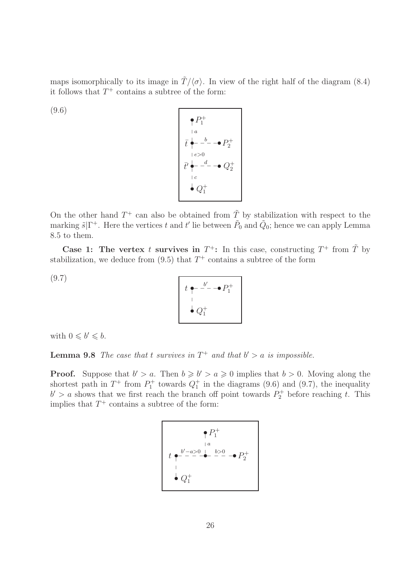maps isomorphically to its image in  $\tilde{T}/\langle \sigma \rangle$ . In view of the right half of the diagram (8.4) it follows that  $T^+$  contains a subtree of the form:

(9.6)



On the other hand  $T^+$  can also be obtained from  $\tilde{T}$  by stabilization with respect to the marking  $\tilde{s}|\Gamma^+$ . Here the vertices t and t' lie between  $\tilde{P}_0$  and  $\tilde{Q}_0$ ; hence we can apply Lemma 8.5 to them.

Case 1: The vertex t survives in  $T^+$ : In this case, constructing  $T^+$  from  $\tilde{T}$  by stabilization, we deduce from  $(9.5)$  that  $T^+$  contains a subtree of the form

(9.7)



with  $0 \leq b' \leq b$ .

**Lemma 9.8** The case that t survives in  $T^+$  and that  $b' > a$  is impossible.

**Proof.** Suppose that  $b' > a$ . Then  $b \geq b' > a \geq 0$  implies that  $b > 0$ . Moving along the shortest path in  $T^+$  from  $P_1^+$  towards  $Q_1^+$  in the diagrams (9.6) and (9.7), the inequality  $b' > a$  shows that we first reach the branch off point towards  $P_2^+$  before reaching t. This implies that  $T^+$  contains a subtree of the form:

$$
t \xrightarrow{\rho} P_1^+
$$
  
\nt \xrightarrow{-a>0 \quad |a \quad b>0 \quad -P\_2^+}  
\n
$$
\vdots
$$
  
\n
$$
\downarrow Q_1^+
$$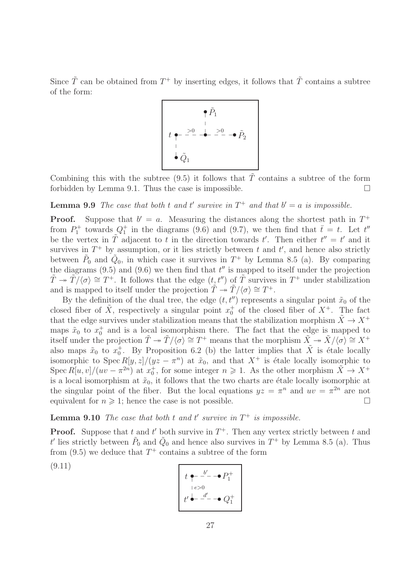Since  $\tilde{T}$  can be obtained from  $T^+$  by inserting edges, it follows that  $\tilde{T}$  contains a subtree of the form:



Combining this with the subtree  $(9.5)$  it follows that T contains a subtree of the form forbidden by Lemma 9.1. Thus the case is impossible.  $\Box$ 

**Lemma 9.9** The case that both t and t' survive in  $T^+$  and that  $b' = a$  is impossible.

**Proof.** Suppose that  $b' = a$ . Measuring the distances along the shortest path in  $T^+$ from  $P_1^+$  towards  $Q_1^+$  in the diagrams (9.6) and (9.7), we then find that  $\bar{t} = t$ . Let  $t''$ be the vertex in  $\tilde{T}$  adjacent to t in the direction towards t'. Then either  $t'' = t'$  and it survives in  $T^+$  by assumption, or it lies strictly between t and t', and hence also strictly between  $\tilde{P}_0$  and  $\tilde{Q}_0$ , in which case it survives in  $T^+$  by Lemma 8.5 (a). By comparing the diagrams  $(9.5)$  and  $(9.6)$  we then find that  $t''$  is mapped to itself under the projection  $\tilde{T} \to \tilde{T}/\langle \sigma \rangle \cong T^+$ . It follows that the edge  $(t, t'')$  of  $\tilde{T}$  survives in  $T^+$  under stabilization and is mapped to itself under the projection  $\tilde{T} \to \tilde{T}/\langle \sigma \rangle \cong T^+$ .

By the definition of the dual tree, the edge  $(t, t'')$  represents a singular point  $\tilde{x}_0$  of the closed fiber of  $\tilde{X}$ , respectively a singular point  $x_0^+$  of the closed fiber of  $X^+$ . The fact that the edge survives under stabilization means that the stabilization morphism  $\tilde{X} \to X^+$ maps  $\tilde{x}_0$  to  $x_0^+$  and is a local isomorphism there. The fact that the edge is mapped to itself under the projection  $\tilde{T} \to \tilde{T}/\langle \sigma \rangle \cong T^+$  means that the morphism  $\tilde{X} \to \tilde{X}/\langle \sigma \rangle \cong X^+$ also maps  $\tilde{x}_0$  to  $x_0^+$ . By Proposition 6.2 (b) the latter implies that  $\tilde{X}$  is étale locally isomorphic to Spec  $R[y, z]/(yz - \pi^n)$  at  $\tilde{x}_0$ , and that  $X^+$  is étale locally isomorphic to Spec  $R[u, v]/(uv - \pi^{2n})$  at  $x_0^+$ , for some integer  $n \geq 1$ . As the other morphism  $\tilde{X} \to X^+$ is a local isomorphism at  $\tilde{x}_0$ , it follows that the two charts are étale locally isomorphic at the singular point of the fiber. But the local equations  $yz = \pi^n$  and  $uv = \pi^{2n}$  are not equivalent for  $n \geq 1$ ; hence the case is not possible.

**Lemma 9.10** The case that both t and t' survive in  $T^+$  is impossible.

**Proof.** Suppose that t and t' both survive in  $T^+$ . Then any vertex strictly between t and t' lies strictly between  $\tilde{P}_0$  and  $\tilde{Q}_0$  and hence also survives in  $T^+$  by Lemma 8.5 (a). Thus from  $(9.5)$  we deduce that  $T^+$  contains a subtree of the form

(9.11)

$$
t \leftarrow \frac{b'}{\cdot} - \cdot \cdot \cdot P_1^+
$$
  

$$
+ e > 0
$$
  

$$
t' \leftarrow \frac{d'}{\cdot} - \cdot \cdot Q_1^+
$$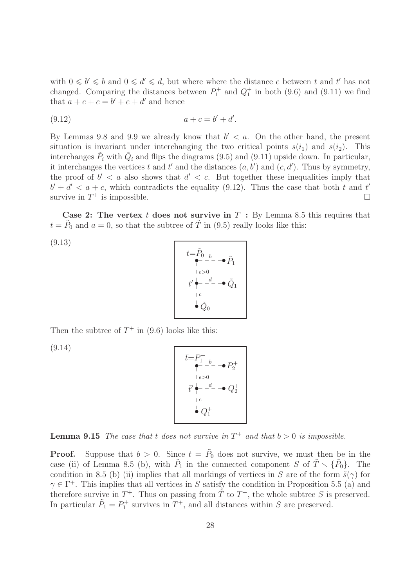with  $0 \leq b' \leq b$  and  $0 \leq d' \leq d$ , but where where the distance e between t and t' has not changed. Comparing the distances between  $P_1^+$  and  $Q_1^+$  in both (9.6) and (9.11) we find that  $a + e + c = b' + e + d'$  and hence

$$
(9.12) \t\t a + c = b' + d'.
$$

By Lemmas 9.8 and 9.9 we already know that  $b' < a$ . On the other hand, the present situation is invariant under interchanging the two critical points  $s(i_1)$  and  $s(i_2)$ . This interchanges  $\tilde{P}_i$  with  $\tilde{Q}_i$  and flips the diagrams (9.5) and (9.11) upside down. In particular, it interchanges the vertices t and t' and the distances  $(a, b')$  and  $(c, d')$ . Thus by symmetry, the proof of  $b' < a$  also shows that  $d' < c$ . But together these inequalities imply that  $b' + d' < a + c$ , which contradicts the equality (9.12). Thus the case that both t and t' survive in  $T^+$  is impossible.

Case 2: The vertex t does not survive in  $T^+$ : By Lemma 8.5 this requires that  $t = \tilde{P}_0$  and  $a = 0$ , so that the subtree of  $\tilde{T}$  in (9.5) really looks like this:

(9.13)

$$
t=\tilde{P}_{0}\underset{|e>0}{\overset{b}{\longleftarrow}}\rightarrow\tilde{P}_{1}
$$
  
\n
$$
t'\underset{|e}{\overset{|e>0}{\longleftarrow}}\rightarrow\tilde{Q}_{1}
$$
  
\n
$$
\overset{|e}{\longleftarrow}\tilde{Q}_{0}
$$

Then the subtree of  $T^+$  in (9.6) looks like this:

(9.14)

$$
\bar{t} = P_1^+ \quad \bullet
$$
\n
$$
\bullet
$$
\n
$$
P_2^- \quad \bullet
$$
\n
$$
P_2^+ \quad \bullet
$$
\n
$$
P_2^+ \quad \bullet
$$
\n
$$
P_2^+ \quad \bullet
$$
\n
$$
P_2^+ \quad \bullet
$$
\n
$$
P_2^+ \quad \bullet
$$
\n
$$
Q_1^+
$$

**Lemma 9.15** The case that t does not survive in  $T^+$  and that  $b > 0$  is impossible.

**Proof.** Suppose that  $b > 0$ . Since  $t = \tilde{P}_0$  does not survive, we must then be in the case (ii) of Lemma 8.5 (b), with  $\tilde{P}_1$  in the connected component S of  $\tilde{T} \setminus {\tilde{P}_0}$ . The condition in 8.5 (b) (ii) implies that all markings of vertices in S are of the form  $\tilde{s}(\gamma)$  for  $\gamma \in \Gamma^+$ . This implies that all vertices in S satisfy the condition in Proposition 5.5 (a) and therefore survive in  $T^+$ . Thus on passing from  $\tilde{T}$  to  $T^+$ , the whole subtree S is preserved. In particular  $\tilde{P}_1 = P_1^+$  survives in  $T^+$ , and all distances within S are preserved.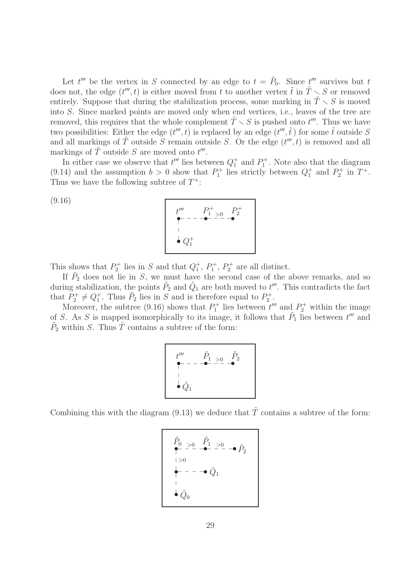Let  $t^{\prime\prime\prime}$  be the vertex in S connected by an edge to  $t = \tilde{P}_0$ . Since  $t^{\prime\prime\prime}$  survives but t does not, the edge  $(t^{\prime\prime\prime}, t)$  is either moved from t to another vertex  $\tilde{t}$  in  $\tilde{T} \setminus S$  or removed entirely. Suppose that during the stabilization process, some marking in  $T \setminus S$  is moved into S. Since marked points are moved only when end vertices, i.e., leaves of the tree are removed, this requires that the whole complement  $\tilde{T} \setminus S$  is pushed onto  $t'''$ . Thus we have two possibilities: Either the edge  $(t^{\prime\prime\prime}, t)$  is replaced by an edge  $(t^{\prime\prime\prime}, \tilde{t})$  for some  $\tilde{t}$  outside S and all markings of  $\tilde{T}$  outside S remain outside S. Or the edge  $(t''', t)$  is removed and all markings of  $\tilde{T}$  outside S are moved onto  $t'''$ .

In either case we observe that  $t^{\prime\prime\prime}$  lies between  $Q_1^+$  and  $P_1^+$ . Note also that the diagram (9.14) and the assumption  $b > 0$  show that  $P_1^+$  lies strictly between  $Q_1^+$  and  $P_2^+$  in  $T^+$ . Thus we have the following subtree of  $T^+$ :

> + 2

$$
t'''
$$
  
\n
$$
P_1^+ > 0
$$
  
\n
$$
P_2^- = -\bullet - \bullet
$$
  
\n
$$
Q_1^+
$$

This shows that  $P_2^+$  lies in S and that  $Q_1^+$ ,  $P_1^+$ ,  $P_2^+$  are all distinct.

(9.16)

If  $P_2$  does not lie in S, we must have the second case of the above remarks, and so during stabilization, the points  $\tilde{P}_2$  and  $\tilde{Q}_1$  are both moved to  $t'''$ . This contradicts the fact that  $P_2^+ \neq Q_1^+$ . Thus  $P_2$  lies in S and is therefore equal to  $P_2^+$ .

Moreover, the subtree (9.16) shows that  $P_1^+$  lies between  $t'''$  and  $P_2^+$  within the image of S. As S is mapped isomorphically to its image, it follows that  $\tilde{P}_1$  lies between  $t^{\prime\prime\prime}$  and  $\tilde{P}_2$  within S. Thus  $\tilde{T}$  contains a subtree of the form:

$$
t'''
$$
\n
$$
\begin{array}{ccc}\n& \tilde{P}_1 > 0 & \tilde{P}_2 \\
& \tilde{\phantom{1}} & - & -\bullet - \bullet - & -\bullet \\
& \vdots & & \vdots \\
& \bullet & \tilde{Q}_1\n\end{array}
$$

Combining this with the diagram  $(9.13)$  we deduce that T contains a subtree of the form:

$$
\tilde{P}_0 > 0 \quad \tilde{P}_1 > 0
$$
\n
$$
| > 0
$$
\n
$$
| > 0
$$
\n
$$
| > 0
$$
\n
$$
| > 0
$$
\n
$$
| > 0
$$
\n
$$
| > 0
$$
\n
$$
| > 0
$$
\n
$$
| > 0
$$
\n
$$
| > 0
$$
\n
$$
| > 0
$$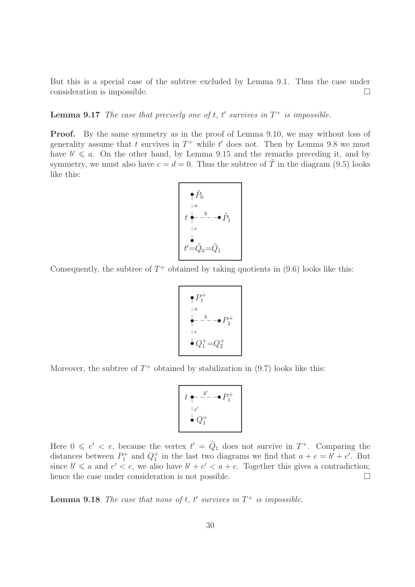But this is a special case of the subtree excluded by Lemma 9.1. Thus the case under consideration is impossible.

**Lemma 9.17** The case that precisely one of t, t' survives in  $T^+$  is impossible.

**Proof.** By the same symmetry as in the proof of Lemma 9.10, we may without loss of generality assume that t survives in  $T^+$  while t' does not. Then by Lemma 9.8 we must have  $b' \leq a$ . On the other hand, by Lemma 9.15 and the remarks preceding it, and by symmetry, we must also have  $c = d = 0$ . Thus the subtree of  $\tilde{T}$  in the diagram (9.5) looks like this:

$$
\begin{array}{c}\n\bullet \tilde{P}_0 \\
\downarrow a \\
t \stackrel{\mathbf{1}}{\bullet} - \stackrel{b}{\bullet} - \bullet \tilde{P}_1 \\
\downarrow e \\
t' = \tilde{Q}_0 = \tilde{Q}_1\n\end{array}
$$

Consequently, the subtree of  $T^+$  obtained by taking quotients in  $(9.6)$  looks like this:

$$
\begin{array}{c}\n P_1^+ \\
 a \\
 \downarrow a \\
 \downarrow e \\
 e \\
 \downarrow e \\
 Q_1^+ = Q_2^+ \\
\end{array}
$$

Moreover, the subtree of  $T^+$  obtained by stabilization in  $(9.7)$  looks like this:

$$
t \underset{e'}{\bullet} - \overset{b'}{\bullet} - \bullet P_1^+
$$
  

$$
\underset{e'}{\bullet} Q_1^+
$$

Here  $0 \leqslant e' < e$ , because the vertex  $t' = \tilde{Q}_1$  does not survive in  $T^+$ . Comparing the distances between  $P_1^+$  and  $Q_1^+$  in the last two diagrams we find that  $a + e = b' + e'$ . But since  $b' \leq a$  and  $e' < e$ , we also have  $b' + e' < a + e$ . Together this gives a contradiction; hence the case under consideration is not possible.  $\Box$ 

**Lemma 9.18** The case that none of t, t' survives in  $T^+$  is impossible.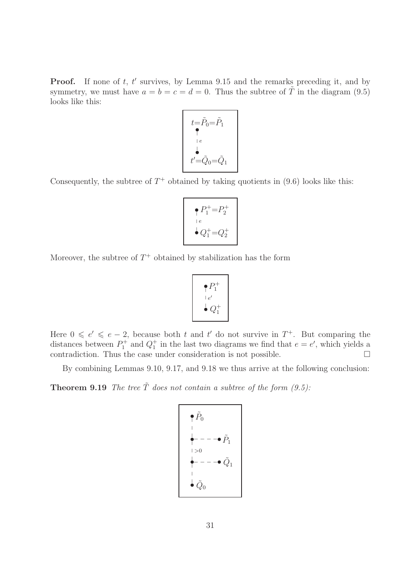**Proof.** If none of  $t$ ,  $t'$  survives, by Lemma 9.15 and the remarks preceding it, and by symmetry, we must have  $a = b = c = d = 0$ . Thus the subtree of  $\tilde{T}$  in the diagram (9.5) looks like this:

$$
t=\tilde{P}_0=\tilde{P}_1
$$
\n
$$
t'=\tilde{Q}_0=\tilde{Q}_1
$$

Consequently, the subtree of  $T^+$  obtained by taking quotients in  $(9.6)$  looks like this:

$$
\bigcap_{1 \in \mathcal{C}} P_1^+ = P_2^+
$$
  

$$
\bigcup_{1 \in \mathcal{C}} P_1^+ = Q_2^+
$$

Moreover, the subtree of  $T^+$  obtained by stabilization has the form

$$
\begin{array}{c}\n\bullet P_1^+ \\
\vdots \\
\bullet Q_1^+\n\end{array}
$$

Here  $0 \leq e' \leq e-2$ , because both t and t' do not survive in  $T^+$ . But comparing the distances between  $P_1^+$  and  $Q_1^+$  in the last two diagrams we find that  $e = e'$ , which yields a contradiction. Thus the case under consideration is not possible.  $\Box$ 

By combining Lemmas 9.10, 9.17, and 9.18 we thus arrive at the following conclusion:

**Theorem 9.19** The tree  $\tilde{T}$  does not contain a subtree of the form (9.5):

$$
\begin{aligned}\n& \begin{array}{c}\n\bullet \tilde{P}_0 \\
& \downarrow \\
& \bullet \quad \bullet \quad \bullet \quad \bullet \\
& \to 0 \\
& \begin{array}{c}\n\bullet \\
& \downarrow \\
& \downarrow \\
& \end{array} \\
& \begin{array}{c}\n\bullet \\
& \downarrow \\
& \end{array} \\
& \begin{array}{c}\n\bullet \\
& \downarrow \\
& \end{array} \\
& \begin{array}{c}\n\bullet \\
& \end{array} \\
& \begin{array}{c}\n\bullet \\
& \end{array} \\
& \end{array}
$$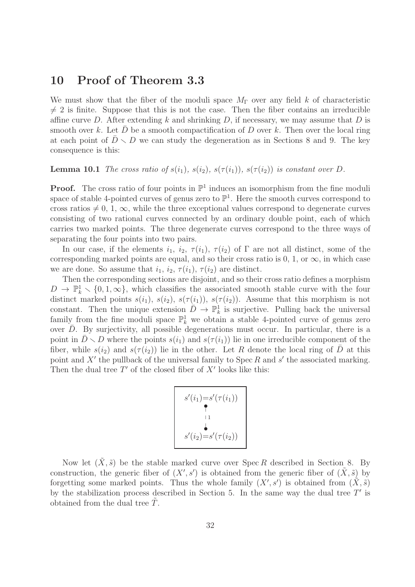#### 10 Proof of Theorem 3.3

We must show that the fiber of the moduli space  $M_{\Gamma}$  over any field k of characteristic  $\neq$  2 is finite. Suppose that this is not the case. Then the fiber contains an irreducible affine curve D. After extending k and shrinking D, if necessary, we may assume that D is smooth over k. Let D be a smooth compactification of D over k. Then over the local ring at each point of  $D \setminus D$  we can study the degeneration as in Sections 8 and 9. The key consequence is this:

**Lemma 10.1** The cross ratio of  $s(i_1)$ ,  $s(i_2)$ ,  $s(\tau(i_1))$ ,  $s(\tau(i_2))$  is constant over D.

**Proof.** The cross ratio of four points in  $\mathbb{P}^1$  induces an isomorphism from the fine moduli space of stable 4-pointed curves of genus zero to  $\mathbb{P}^1$ . Here the smooth curves correspond to cross ratios  $\neq 0, 1, \infty$ , while the three exceptional values correspond to degenerate curves consisting of two rational curves connected by an ordinary double point, each of which carries two marked points. The three degenerate curves correspond to the three ways of separating the four points into two pairs.

In our case, if the elements  $i_1$ ,  $i_2$ ,  $\tau(i_1)$ ,  $\tau(i_2)$  of  $\Gamma$  are not all distinct, some of the corresponding marked points are equal, and so their cross ratio is  $0, 1, \text{ or } \infty$ , in which case we are done. So assume that  $i_1$ ,  $i_2$ ,  $\tau(i_1)$ ,  $\tau(i_2)$  are distinct.

Then the corresponding sections are disjoint, and so their cross ratio defines a morphism  $D \to \mathbb{P}_k^1 \setminus \{0, 1, \infty\}$ , which classifies the associated smooth stable curve with the four distinct marked points  $s(i_1)$ ,  $s(i_2)$ ,  $s(\tau(i_1))$ ,  $s(\tau(i_2))$ . Assume that this morphism is not constant. Then the unique extension  $\bar{D} \to \mathbb{P}^1_k$  is surjective. Pulling back the universal family from the fine moduli space  $\mathbb{P}^1_k$  we obtain a stable 4-pointed curve of genus zero over  $\bar{D}$ . By surjectivity, all possible degenerations must occur. In particular, there is a point in  $\bar{D} \setminus D$  where the points  $s(i_1)$  and  $s(\tau(i_1))$  lie in one irreducible component of the fiber, while  $s(i_2)$  and  $s(\tau(i_2))$  lie in the other. Let R denote the local ring of D at this point and X' the pullback of the universal family to Spec R and  $s'$  the associated marking. Then the dual tree  $T'$  of the closed fiber of  $X'$  looks like this:

$$
s'(i_1)=s'(\tau(i_1))
$$
  
\n  
\n
$$
\uparrow
$$
  
\n
$$
\downarrow
$$
  
\n
$$
s'(i_2)=s'(\tau(i_2))
$$

Now let  $(\tilde{X}, \tilde{s})$  be the stable marked curve over Spec R described in Section 8. By construction, the generic fiber of  $(X', s')$  is obtained from the generic fiber of  $(\tilde{X}, \tilde{s})$  by forgetting some marked points. Thus the whole family  $(X', s')$  is obtained from  $(\tilde{X}, \tilde{s})$ by the stabilization process described in Section 5. In the same way the dual tree  $T'$  is obtained from the dual tree  $T$ .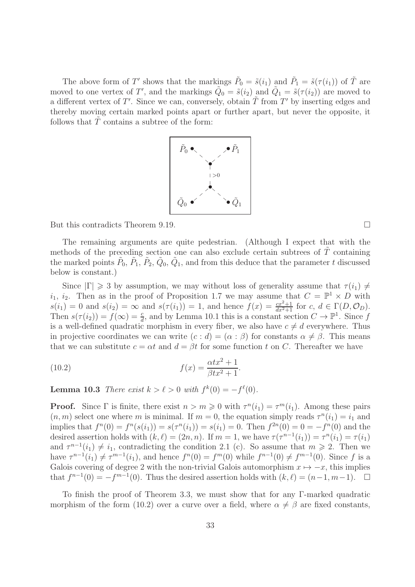The above form of T' shows that the markings  $\tilde{P}_0 = \tilde{s}(i_1)$  and  $\tilde{P}_1 = \tilde{s}(\tau(i_1))$  of  $\tilde{T}$  are moved to one vertex of T', and the markings  $\tilde{Q}_0 = \tilde{s}(i_2)$  and  $\tilde{Q}_1 = \tilde{s}(\tau(i_2))$  are moved to a different vertex of T'. Since we can, conversely, obtain  $\tilde{T}$  from T' by inserting edges and thereby moving certain marked points apart or further apart, but never the opposite, it follows that  $\tilde{T}$  contains a subtree of the form:



But this contradicts Theorem 9.19.

The remaining arguments are quite pedestrian. (Although I expect that with the methods of the preceding section one can also exclude certain subtrees of  $\tilde{T}$  containing the marked points  $\tilde{P}_0$ ,  $\tilde{P}_1$ ,  $\tilde{P}_2$ ,  $\tilde{Q}_0$ ,  $\tilde{Q}_1$ , and from this deduce that the parameter t discussed below is constant.)

Since  $|\Gamma| \geq 3$  by assumption, we may without loss of generality assume that  $\tau(i_1) \neq i_2$  $i_1, i_2$ . Then as in the proof of Proposition 1.7 we may assume that  $C = \mathbb{P}^1 \times D$  with  $s(i_1) = 0$  and  $s(i_2) = \infty$  and  $s(\tau(i_1)) = 1$ , and hence  $f(x) = \frac{cx^2+1}{dx^2+1}$  for  $c, d \in \Gamma(D, \mathcal{O}_D)$ . Then  $s(\tau(i_2)) = f(\infty) = \frac{c}{d}$ , and by Lemma 10.1 this is a constant section  $C \to \mathbb{P}^1$ . Since f is a well-defined quadratic morphism in every fiber, we also have  $c \neq d$  everywhere. Thus in projective coordinates we can write  $(c : d) = (\alpha : \beta)$  for constants  $\alpha \neq \beta$ . This means that we can substitute  $c = \alpha t$  and  $d = \beta t$  for some function t on C. Thereafter we have

.

(10.2) 
$$
f(x) = \frac{\alpha t x^2 + 1}{\beta t x^2 + 1}
$$

**Lemma 10.3** There exist  $k > \ell > 0$  with  $f^k(0) = -f^{\ell}(0)$ .

**Proof.** Since  $\Gamma$  is finite, there exist  $n > m \geqslant 0$  with  $\tau^n(i_1) = \tau^m(i_1)$ . Among these pairs  $(n, m)$  select one where m is minimal. If  $m = 0$ , the equation simply reads  $\tau^{n}(i_1) = i_1$  and implies that  $f^{n}(0) = f^{n}(s(i_1)) = s(\tau^{n}(i_1)) = s(i_1) = 0$ . Then  $f^{2n}(0) = 0 = -f^{n}(0)$  and the desired assertion holds with  $(k, \ell) = (2n, n)$ . If  $m = 1$ , we have  $\tau(\tau^{n-1}(i_1)) = \tau^n(i_1) = \tau(i_1)$ and  $\tau^{n-1}(i_1) \neq i_1$ , contradicting the condition 2.1 (c). So assume that  $m \geq 2$ . Then we have  $\tau^{n-1}(i_1) \neq \tau^{m-1}(i_1)$ , and hence  $f^n(0) = f^m(0)$  while  $f^{n-1}(0) \neq f^{m-1}(0)$ . Since f is a Galois covering of degree 2 with the non-trivial Galois automorphism  $x \mapsto -x$ , this implies that  $f^{n-1}(0) = -f^{m-1}(0)$ . Thus the desired assertion holds with  $(k, \ell) = (n-1, m-1)$ .  $\Box$ 

To finish the proof of Theorem 3.3, we must show that for any Γ-marked quadratic morphism of the form (10.2) over a curve over a field, where  $\alpha \neq \beta$  are fixed constants,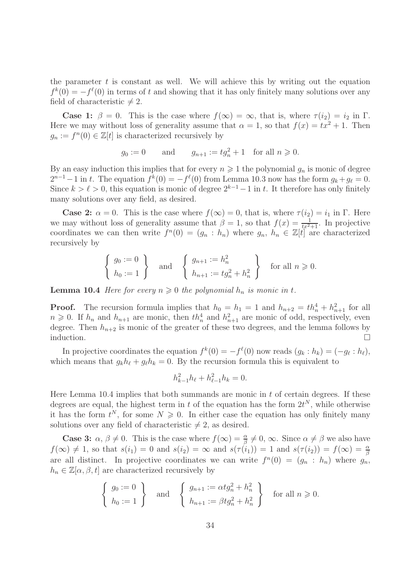the parameter  $t$  is constant as well. We will achieve this by writing out the equation  $f^k(0) = -f^l(0)$  in terms of t and showing that it has only finitely many solutions over any field of characteristic  $\neq 2$ .

**Case 1:**  $\beta = 0$ . This is the case where  $f(\infty) = \infty$ , that is, where  $\tau(i_2) = i_2$  in  $\Gamma$ . Here we may without loss of generality assume that  $\alpha = 1$ , so that  $f(x) = tx^2 + 1$ . Then  $g_n := f^n(0) \in \mathbb{Z}[t]$  is characterized recursively by

$$
g_0 := 0
$$
 and  $g_{n+1} := tg_n^2 + 1$  for all  $n \ge 0$ .

By an easy induction this implies that for every  $n \geq 1$  the polynomial  $g_n$  is monic of degree  $2^{n-1}-1$  in t. The equation  $f^k(0) = -f^{\ell}(0)$  from Lemma 10.3 now has the form  $g_k + g_{\ell} = 0$ . Since  $k > \ell > 0$ , this equation is monic of degree  $2^{k-1}-1$  in t. It therefore has only finitely many solutions over any field, as desired.

**Case 2:**  $\alpha = 0$ . This is the case where  $f(\infty) = 0$ , that is, where  $\tau(i_2) = i_1$  in  $\Gamma$ . Here we may without loss of generality assume that  $\beta = 1$ , so that  $f(x) = \frac{1}{tx^2+1}$ . In projective coordinates we can then write  $f^{(n)}(0) = (g_n : h_n)$  where  $g_n, h_n \in \mathbb{Z}[t]$  are characterized recursively by

$$
\left\{\n \begin{array}{c}\n g_0 := 0 \\
 h_0 := 1\n \end{array}\n\right\}\n \text{ and }\n \left\{\n \begin{array}{c}\n g_{n+1} := h_n^2 \\
 h_{n+1} := tg_n^2 + h_n^2\n \end{array}\n\right\}\n \text{ for all } n \geq 0.
$$

**Lemma 10.4** Here for every  $n \geq 0$  the polynomial  $h_n$  is monic in t.

**Proof.** The recursion formula implies that  $h_0 = h_1 = 1$  and  $h_{n+2} = th_n^4 + h_{n+1}^2$  for all  $n \geq 0$ . If  $h_n$  and  $h_{n+1}$  are monic, then  $th_n^4$  and  $h_{n+1}^2$  are monic of odd, respectively, even degree. Then  $h_{n+2}$  is monic of the greater of these two degrees, and the lemma follows by induction.  $\Box$ 

In projective coordinates the equation  $f^k(0) = -f^{\ell}(0)$  now reads  $(g_k : h_k) = (-g_{\ell} : h_{\ell}),$ which means that  $g_k h_\ell + g_\ell h_k = 0$ . By the recursion formula this is equivalent to

$$
h_{k-1}^2 h_\ell + h_{\ell-1}^2 h_k = 0.
$$

Here Lemma 10.4 implies that both summands are monic in  $t$  of certain degrees. If these degrees are equal, the highest term in t of the equation has the form  $2t^N$ , while otherwise it has the form  $t^N$ , for some  $N \geq 0$ . In either case the equation has only finitely many solutions over any field of characteristic  $\neq 2$ , as desired.

**Case 3:**  $\alpha, \beta \neq 0$ . This is the case where  $f(\infty) = \frac{\alpha}{\beta} \neq 0$ ,  $\infty$ . Since  $\alpha \neq \beta$  we also have  $f(\infty) \neq 1$ , so that  $s(i_1) = 0$  and  $s(i_2) = \infty$  and  $s(\tau(i_1)) = 1$  and  $s(\tau(i_2)) = f(\infty) = \frac{\alpha}{\beta}$ are all distinct. In projective coordinates we can write  $f^{(n)}(0) = (g_n : h_n)$  where  $g_n$ ,  $h_n \in \mathbb{Z}[\alpha, \beta, t]$  are characterized recursively by

$$
\begin{cases} g_0 := 0 \\ h_0 := 1 \end{cases} \text{ and } \begin{cases} g_{n+1} := \alpha t g_n^2 + h_n^2 \\ h_{n+1} := \beta t g_n^2 + h_n^2 \end{cases} \text{ for all } n \ge 0.
$$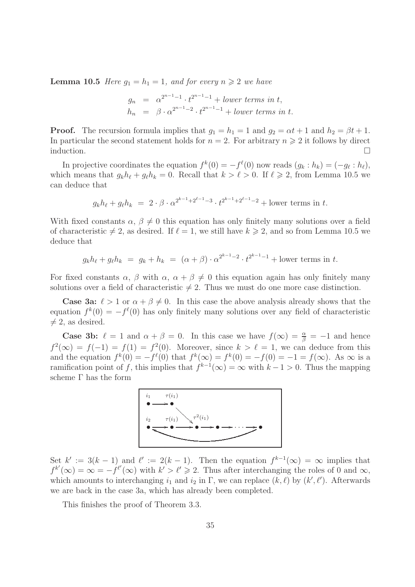**Lemma 10.5** Here  $g_1 = h_1 = 1$ , and for every  $n \geq 2$  we have

$$
g_n = \alpha^{2^{n-1}-1} \cdot t^{2^{n-1}-1} + lower \ terms \ in \ t,
$$
  
\n
$$
h_n = \beta \cdot \alpha^{2^{n-1}-2} \cdot t^{2^{n-1}-1} + lower \ terms \ in \ t.
$$

**Proof.** The recursion formula implies that  $g_1 = h_1 = 1$  and  $g_2 = \alpha t + 1$  and  $h_2 = \beta t + 1$ . In particular the second statement holds for  $n = 2$ . For arbitrary  $n \geq 2$  it follows by direct induction.  $\Box$ 

In projective coordinates the equation  $f^k(0) = -f^{\ell}(0)$  now reads  $(g_k : h_k) = (-g_{\ell} : h_{\ell}),$ which means that  $g_k h_\ell + g_\ell h_k = 0$ . Recall that  $k > \ell > 0$ . If  $\ell \geq 2$ , from Lemma 10.5 we can deduce that

$$
g_k h_\ell + g_\ell h_k = 2 \cdot \beta \cdot \alpha^{2^{k-1}+2^{\ell-1}-3} \cdot t^{2^{k-1}+2^{\ell-1}-2} + \text{lower terms in } t.
$$

With fixed constants  $\alpha$ ,  $\beta \neq 0$  this equation has only finitely many solutions over a field of characteristic  $\neq 2$ , as desired. If  $\ell = 1$ , we still have  $k \geq 2$ , and so from Lemma 10.5 we deduce that

$$
g_k h_\ell + g_\ell h_k = g_k + h_k = (\alpha + \beta) \cdot \alpha^{2^{k-1}-2} \cdot t^{2^{k-1}-1} + \text{lower terms in } t.
$$

For fixed constants  $\alpha$ ,  $\beta$  with  $\alpha$ ,  $\alpha + \beta \neq 0$  this equation again has only finitely many solutions over a field of characteristic  $\neq 2$ . Thus we must do one more case distinction.

**Case 3a:**  $\ell > 1$  or  $\alpha + \beta \neq 0$ . In this case the above analysis already shows that the equation  $f^k(0) = -f^{\ell}(0)$  has only finitely many solutions over any field of characteristic  $\neq$  2, as desired.

**Case 3b:**  $\ell = 1$  and  $\alpha + \beta = 0$ . In this case we have  $f(\infty) = \frac{\alpha}{\beta} = -1$  and hence  $f^2(\infty) = f(-1) = f(1) = f^2(0)$ . Moreover, since  $k > \ell = 1$ , we can deduce from this and the equation  $f^k(0) = -f^{\ell}(0)$  that  $f^k(\infty) = f^k(0) = -f(0) = -1 = f(\infty)$ . As  $\infty$  is a ramification point of f, this implies that  $f^{k-1}(\infty) = \infty$  with  $k-1 > 0$ . Thus the mapping scheme Γ has the form



Set  $k' := 3(k-1)$  and  $\ell' := 2(k-1)$ . Then the equation  $f^{k-1}(\infty) = \infty$  implies that  $f^{k'}(\infty) = \infty = -f^{\ell'}(\infty)$  with  $k' > \ell' \geq 2$ . Thus after interchanging the roles of 0 and  $\infty$ , which amounts to interchanging  $i_1$  and  $i_2$  in  $\Gamma$ , we can replace  $(k, \ell)$  by  $(k', \ell')$ . Afterwards we are back in the case 3a, which has already been completed.

This finishes the proof of Theorem 3.3.